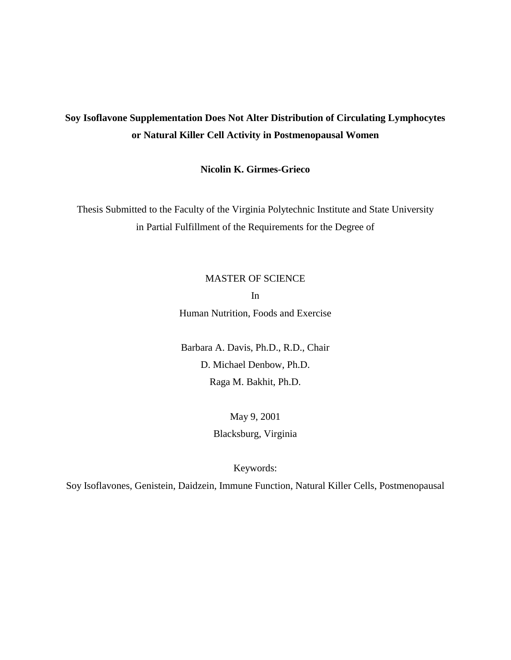# **Soy Isoflavone Supplementation Does Not Alter Distribution of Circulating Lymphocytes or Natural Killer Cell Activity in Postmenopausal Women**

**Nicolin K. Girmes-Grieco** 

Thesis Submitted to the Faculty of the Virginia Polytechnic Institute and State University in Partial Fulfillment of the Requirements for the Degree of

## MASTER OF SCIENCE

In Human Nutrition, Foods and Exercise

Barbara A. Davis, Ph.D., R.D., Chair D. Michael Denbow, Ph.D. Raga M. Bakhit, Ph.D.

> May 9, 2001 Blacksburg, Virginia

> > Keywords:

Soy Isoflavones, Genistein, Daidzein, Immune Function, Natural Killer Cells, Postmenopausal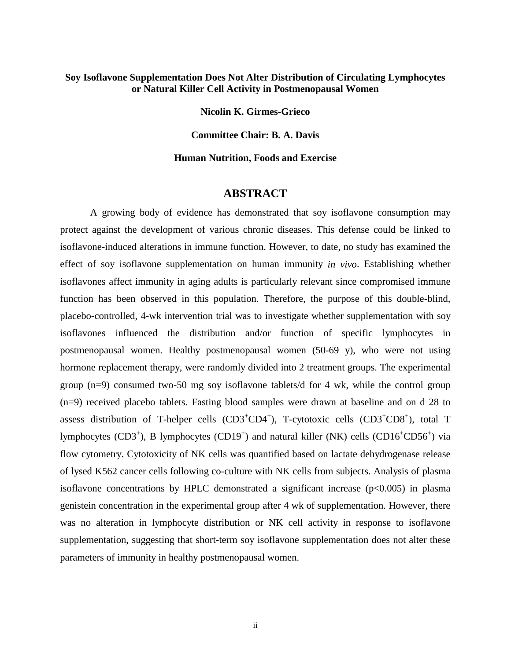## **Soy Isoflavone Supplementation Does Not Alter Distribution of Circulating Lymphocytes or Natural Killer Cell Activity in Postmenopausal Women**

**Nicolin K. Girmes-Grieco** 

**Committee Chair: B. A. Davis** 

**Human Nutrition, Foods and Exercise** 

## **ABSTRACT**

 A growing body of evidence has demonstrated that soy isoflavone consumption may protect against the development of various chronic diseases. This defense could be linked to isoflavone-induced alterations in immune function. However, to date, no study has examined the effect of soy isoflavone supplementation on human immunity *in vivo*. Establishing whether isoflavones affect immunity in aging adults is particularly relevant since compromised immune function has been observed in this population. Therefore, the purpose of this double-blind, placebo-controlled, 4-wk intervention trial was to investigate whether supplementation with soy isoflavones influenced the distribution and/or function of specific lymphocytes in postmenopausal women. Healthy postmenopausal women (50-69 y), who were not using hormone replacement therapy, were randomly divided into 2 treatment groups. The experimental group (n=9) consumed two-50 mg soy isoflavone tablets/d for 4 wk, while the control group (n=9) received placebo tablets. Fasting blood samples were drawn at baseline and on d 28 to assess distribution of T-helper cells (CD3<sup>+</sup>CD4<sup>+</sup>), T-cytotoxic cells (CD3<sup>+</sup>CD8<sup>+</sup>), total T lymphocytes (CD3<sup>+</sup>), B lymphocytes (CD19<sup>+</sup>) and natural killer (NK) cells (CD16<sup>+</sup>CD56<sup>+</sup>) via flow cytometry. Cytotoxicity of NK cells was quantified based on lactate dehydrogenase release of lysed K562 cancer cells following co-culture with NK cells from subjects. Analysis of plasma isoflavone concentrations by HPLC demonstrated a significant increase  $(p<0.005)$  in plasma genistein concentration in the experimental group after 4 wk of supplementation. However, there was no alteration in lymphocyte distribution or NK cell activity in response to isoflavone supplementation, suggesting that short-term soy isoflavone supplementation does not alter these parameters of immunity in healthy postmenopausal women.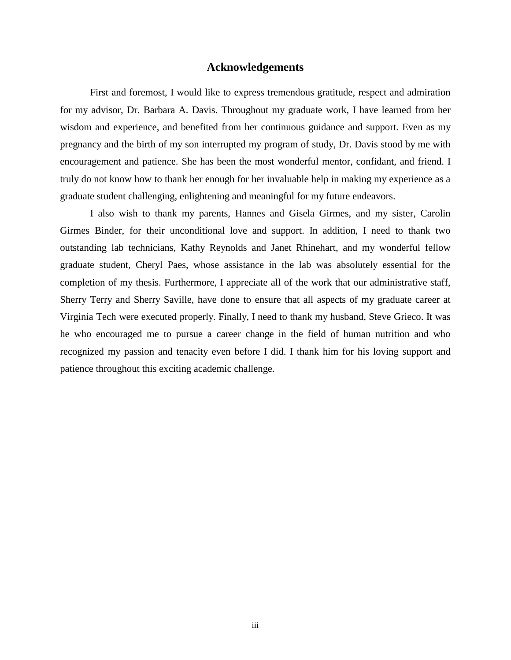## **Acknowledgements**

First and foremost, I would like to express tremendous gratitude, respect and admiration for my advisor, Dr. Barbara A. Davis. Throughout my graduate work, I have learned from her wisdom and experience, and benefited from her continuous guidance and support. Even as my pregnancy and the birth of my son interrupted my program of study, Dr. Davis stood by me with encouragement and patience. She has been the most wonderful mentor, confidant, and friend. I truly do not know how to thank her enough for her invaluable help in making my experience as a graduate student challenging, enlightening and meaningful for my future endeavors.

I also wish to thank my parents, Hannes and Gisela Girmes, and my sister, Carolin Girmes Binder, for their unconditional love and support. In addition, I need to thank two outstanding lab technicians, Kathy Reynolds and Janet Rhinehart, and my wonderful fellow graduate student, Cheryl Paes, whose assistance in the lab was absolutely essential for the completion of my thesis. Furthermore, I appreciate all of the work that our administrative staff, Sherry Terry and Sherry Saville, have done to ensure that all aspects of my graduate career at Virginia Tech were executed properly. Finally, I need to thank my husband, Steve Grieco. It was he who encouraged me to pursue a career change in the field of human nutrition and who recognized my passion and tenacity even before I did. I thank him for his loving support and patience throughout this exciting academic challenge.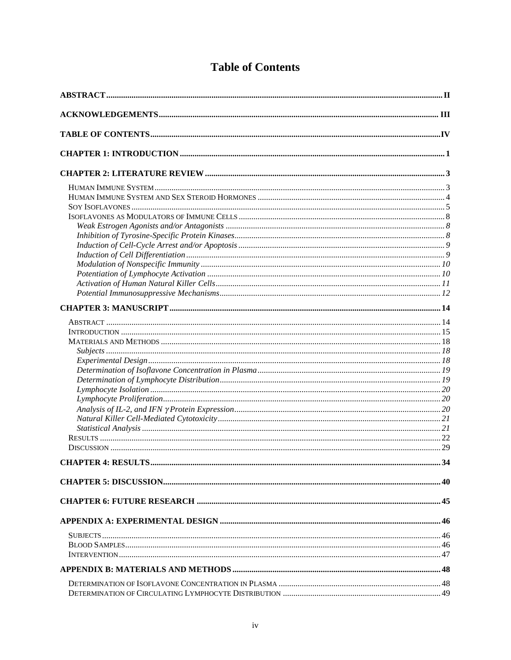|  | <b>Table of Contents</b> |
|--|--------------------------|
|--|--------------------------|

| <b>CHAPTER 4: RESULTS</b> | 34 |
|---------------------------|----|
|                           |    |
|                           |    |
|                           |    |
|                           |    |
|                           |    |
|                           |    |
|                           |    |
|                           |    |
|                           |    |
|                           |    |
|                           |    |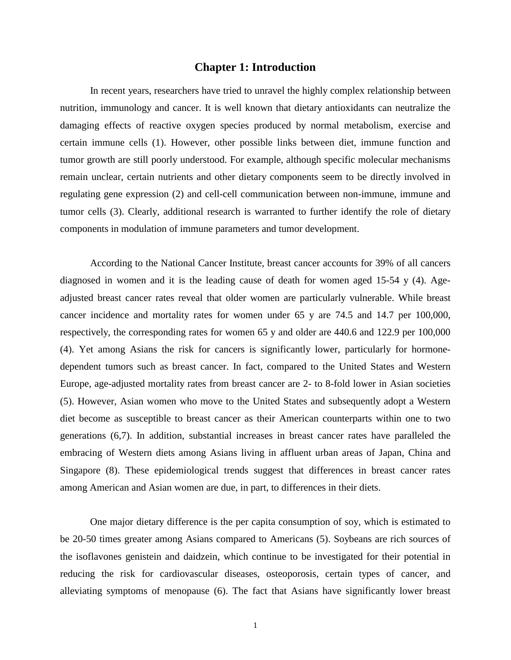## **Chapter 1: Introduction**

 In recent years, researchers have tried to unravel the highly complex relationship between nutrition, immunology and cancer. It is well known that dietary antioxidants can neutralize the damaging effects of reactive oxygen species produced by normal metabolism, exercise and certain immune cells (1). However, other possible links between diet, immune function and tumor growth are still poorly understood. For example, although specific molecular mechanisms remain unclear, certain nutrients and other dietary components seem to be directly involved in regulating gene expression (2) and cell-cell communication between non-immune, immune and tumor cells (3). Clearly, additional research is warranted to further identify the role of dietary components in modulation of immune parameters and tumor development.

 According to the National Cancer Institute, breast cancer accounts for 39% of all cancers diagnosed in women and it is the leading cause of death for women aged 15-54 y (4). Ageadjusted breast cancer rates reveal that older women are particularly vulnerable. While breast cancer incidence and mortality rates for women under 65 y are 74.5 and 14.7 per 100,000, respectively, the corresponding rates for women 65 y and older are 440.6 and 122.9 per 100,000 (4). Yet among Asians the risk for cancers is significantly lower, particularly for hormonedependent tumors such as breast cancer. In fact, compared to the United States and Western Europe, age-adjusted mortality rates from breast cancer are 2- to 8-fold lower in Asian societies (5). However, Asian women who move to the United States and subsequently adopt a Western diet become as susceptible to breast cancer as their American counterparts within one to two generations (6,7). In addition, substantial increases in breast cancer rates have paralleled the embracing of Western diets among Asians living in affluent urban areas of Japan, China and Singapore (8). These epidemiological trends suggest that differences in breast cancer rates among American and Asian women are due, in part, to differences in their diets.

 One major dietary difference is the per capita consumption of soy, which is estimated to be 20-50 times greater among Asians compared to Americans (5). Soybeans are rich sources of the isoflavones genistein and daidzein, which continue to be investigated for their potential in reducing the risk for cardiovascular diseases, osteoporosis, certain types of cancer, and alleviating symptoms of menopause (6). The fact that Asians have significantly lower breast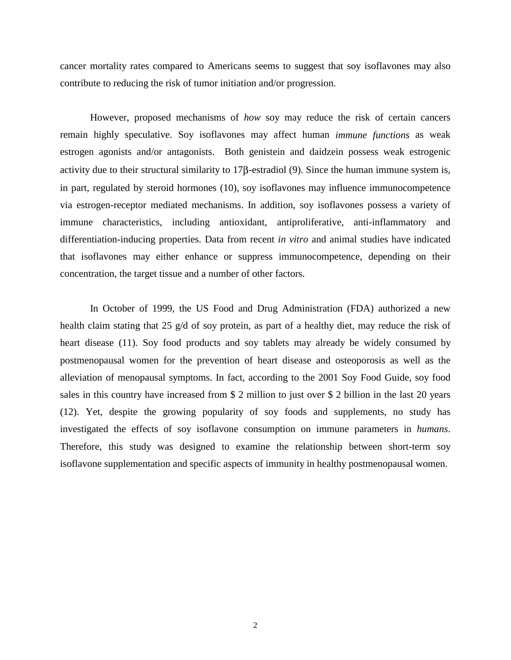cancer mortality rates compared to Americans seems to suggest that soy isoflavones may also contribute to reducing the risk of tumor initiation and/or progression.

 However, proposed mechanisms of *how* soy may reduce the risk of certain cancers remain highly speculative. Soy isoflavones may affect human *immune functions* as weak estrogen agonists and/or antagonists. Both genistein and daidzein possess weak estrogenic activity due to their structural similarity to 17β-estradiol (9). Since the human immune system is, in part, regulated by steroid hormones (10), soy isoflavones may influence immunocompetence via estrogen-receptor mediated mechanisms. In addition, soy isoflavones possess a variety of immune characteristics, including antioxidant, antiproliferative, anti-inflammatory and differentiation-inducing properties. Data from recent *in vitro* and animal studies have indicated that isoflavones may either enhance or suppress immunocompetence, depending on their concentration, the target tissue and a number of other factors.

In October of 1999, the US Food and Drug Administration (FDA) authorized a new health claim stating that 25 g/d of soy protein, as part of a healthy diet, may reduce the risk of heart disease (11). Soy food products and soy tablets may already be widely consumed by postmenopausal women for the prevention of heart disease and osteoporosis as well as the alleviation of menopausal symptoms. In fact, according to the 2001 Soy Food Guide, soy food sales in this country have increased from \$ 2 million to just over \$ 2 billion in the last 20 years (12). Yet, despite the growing popularity of soy foods and supplements, no study has investigated the effects of soy isoflavone consumption on immune parameters in *humans*. Therefore, this study was designed to examine the relationship between short-term soy isoflavone supplementation and specific aspects of immunity in healthy postmenopausal women.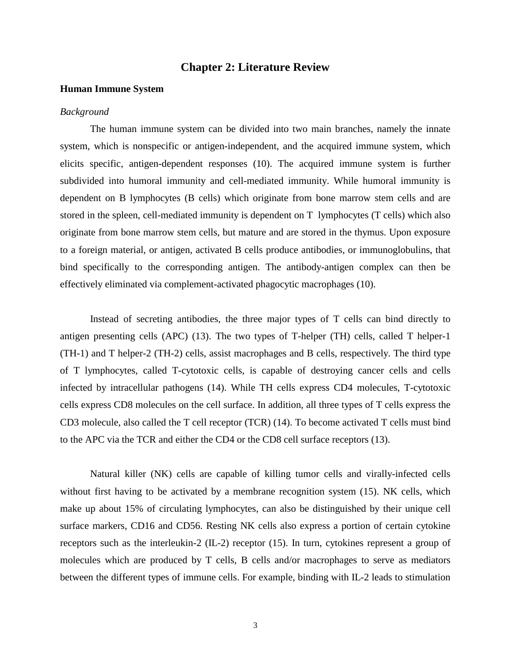## **Chapter 2: Literature Review**

## **Human Immune System**

### *Background*

 The human immune system can be divided into two main branches, namely the innate system, which is nonspecific or antigen-independent, and the acquired immune system, which elicits specific, antigen-dependent responses (10). The acquired immune system is further subdivided into humoral immunity and cell-mediated immunity. While humoral immunity is dependent on B lymphocytes (B cells) which originate from bone marrow stem cells and are stored in the spleen, cell-mediated immunity is dependent on T lymphocytes (T cells) which also originate from bone marrow stem cells, but mature and are stored in the thymus. Upon exposure to a foreign material, or antigen, activated B cells produce antibodies, or immunoglobulins, that bind specifically to the corresponding antigen. The antibody-antigen complex can then be effectively eliminated via complement-activated phagocytic macrophages (10).

 Instead of secreting antibodies, the three major types of T cells can bind directly to antigen presenting cells (APC) (13). The two types of T-helper (TH) cells, called T helper-1 (TH-1) and T helper-2 (TH-2) cells, assist macrophages and B cells, respectively. The third type of T lymphocytes, called T-cytotoxic cells, is capable of destroying cancer cells and cells infected by intracellular pathogens (14). While TH cells express CD4 molecules, T-cytotoxic cells express CD8 molecules on the cell surface. In addition, all three types of T cells express the CD3 molecule, also called the T cell receptor (TCR) (14). To become activated T cells must bind to the APC via the TCR and either the CD4 or the CD8 cell surface receptors (13).

Natural killer (NK) cells are capable of killing tumor cells and virally-infected cells without first having to be activated by a membrane recognition system (15). NK cells, which make up about 15% of circulating lymphocytes, can also be distinguished by their unique cell surface markers, CD16 and CD56. Resting NK cells also express a portion of certain cytokine receptors such as the interleukin-2 (IL-2) receptor (15). In turn, cytokines represent a group of molecules which are produced by T cells, B cells and/or macrophages to serve as mediators between the different types of immune cells. For example, binding with IL-2 leads to stimulation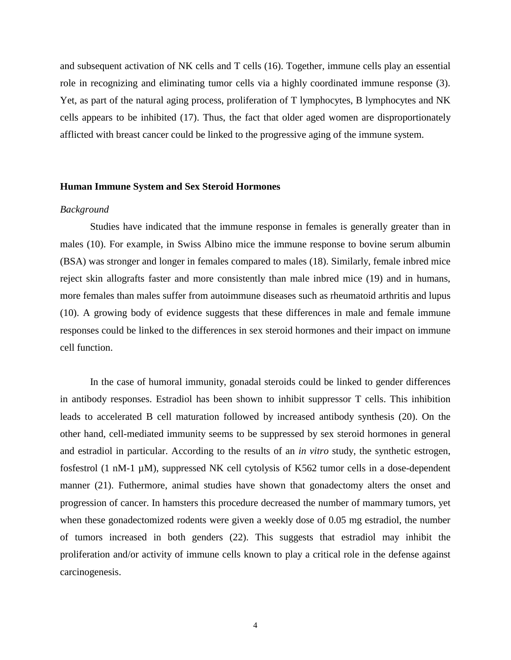and subsequent activation of NK cells and T cells (16). Together, immune cells play an essential role in recognizing and eliminating tumor cells via a highly coordinated immune response (3). Yet, as part of the natural aging process, proliferation of T lymphocytes, B lymphocytes and NK cells appears to be inhibited (17). Thus, the fact that older aged women are disproportionately afflicted with breast cancer could be linked to the progressive aging of the immune system.

#### **Human Immune System and Sex Steroid Hormones**

## *Background*

 Studies have indicated that the immune response in females is generally greater than in males (10). For example, in Swiss Albino mice the immune response to bovine serum albumin (BSA) was stronger and longer in females compared to males (18). Similarly, female inbred mice reject skin allografts faster and more consistently than male inbred mice (19) and in humans, more females than males suffer from autoimmune diseases such as rheumatoid arthritis and lupus (10). A growing body of evidence suggests that these differences in male and female immune responses could be linked to the differences in sex steroid hormones and their impact on immune cell function.

 In the case of humoral immunity, gonadal steroids could be linked to gender differences in antibody responses. Estradiol has been shown to inhibit suppressor T cells. This inhibition leads to accelerated B cell maturation followed by increased antibody synthesis (20). On the other hand, cell-mediated immunity seems to be suppressed by sex steroid hormones in general and estradiol in particular. According to the results of an *in vitro* study, the synthetic estrogen, fosfestrol (1 nM-1  $\mu$ M), suppressed NK cell cytolysis of K562 tumor cells in a dose-dependent manner (21). Futhermore, animal studies have shown that gonadectomy alters the onset and progression of cancer. In hamsters this procedure decreased the number of mammary tumors, yet when these gonadectomized rodents were given a weekly dose of 0.05 mg estradiol, the number of tumors increased in both genders (22). This suggests that estradiol may inhibit the proliferation and/or activity of immune cells known to play a critical role in the defense against carcinogenesis.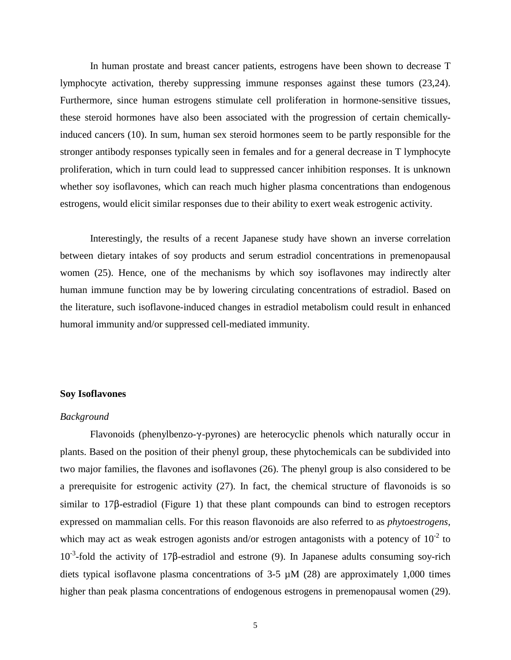In human prostate and breast cancer patients, estrogens have been shown to decrease T lymphocyte activation, thereby suppressing immune responses against these tumors (23,24). Furthermore, since human estrogens stimulate cell proliferation in hormone-sensitive tissues, these steroid hormones have also been associated with the progression of certain chemicallyinduced cancers (10). In sum, human sex steroid hormones seem to be partly responsible for the stronger antibody responses typically seen in females and for a general decrease in T lymphocyte proliferation, which in turn could lead to suppressed cancer inhibition responses. It is unknown whether soy isoflavones, which can reach much higher plasma concentrations than endogenous estrogens, would elicit similar responses due to their ability to exert weak estrogenic activity.

 Interestingly, the results of a recent Japanese study have shown an inverse correlation between dietary intakes of soy products and serum estradiol concentrations in premenopausal women (25). Hence, one of the mechanisms by which soy isoflavones may indirectly alter human immune function may be by lowering circulating concentrations of estradiol. Based on the literature, such isoflavone-induced changes in estradiol metabolism could result in enhanced humoral immunity and/or suppressed cell-mediated immunity.

## **Soy Isoflavones**

### *Background*

Flavonoids (phenylbenzo- $\gamma$ -pyrones) are heterocyclic phenols which naturally occur in plants. Based on the position of their phenyl group, these phytochemicals can be subdivided into two major families, the flavones and isoflavones (26). The phenyl group is also considered to be a prerequisite for estrogenic activity (27). In fact, the chemical structure of flavonoids is so  $s$ imilar to 17 $\beta$ -estradiol (Figure 1) that these plant compounds can bind to estrogen receptors expressed on mammalian cells. For this reason flavonoids are also referred to as *phytoestrogens*, which may act as weak estrogen agonists and/or estrogen antagonists with a potency of  $10^{-2}$  to  $10^{-3}$ -fold the activity of 17 $\beta$ -estradiol and estrone (9). In Japanese adults consuming soy-rich diets typical isoflavone plasma concentrations of  $3-5 \mu M$  (28) are approximately 1,000 times higher than peak plasma concentrations of endogenous estrogens in premenopausal women (29).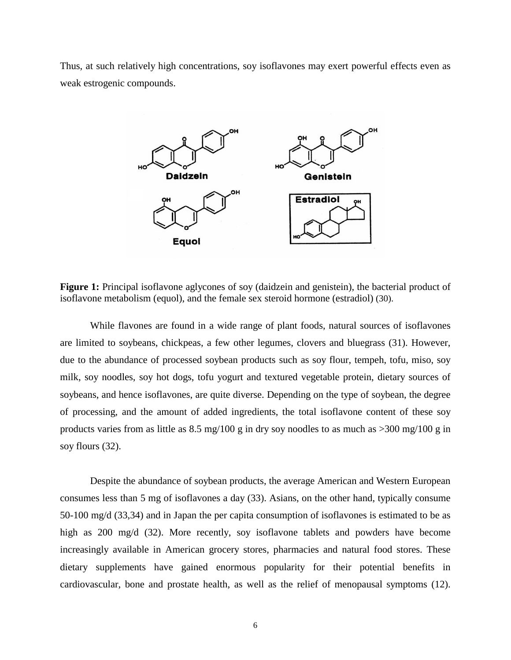Thus, at such relatively high concentrations, soy isoflavones may exert powerful effects even as weak estrogenic compounds.



**Figure 1:** Principal isoflavone aglycones of soy (daidzein and genistein), the bacterial product of isoflavone metabolism (equol), and the female sex steroid hormone (estradiol) (30).

 While flavones are found in a wide range of plant foods, natural sources of isoflavones are limited to soybeans, chickpeas, a few other legumes, clovers and bluegrass (31). However, due to the abundance of processed soybean products such as soy flour, tempeh, tofu, miso, soy milk, soy noodles, soy hot dogs, tofu yogurt and textured vegetable protein, dietary sources of soybeans, and hence isoflavones, are quite diverse. Depending on the type of soybean, the degree of processing, and the amount of added ingredients, the total isoflavone content of these soy products varies from as little as  $8.5 \text{ mg}/100 \text{ g}$  in dry soy noodles to as much as  $>300 \text{ mg}/100 \text{ g}$  in soy flours (32).

 Despite the abundance of soybean products, the average American and Western European consumes less than 5 mg of isoflavones a day (33). Asians, on the other hand, typically consume 50-100 mg/d (33,34) and in Japan the per capita consumption of isoflavones is estimated to be as high as 200 mg/d (32). More recently, soy isoflavone tablets and powders have become increasingly available in American grocery stores, pharmacies and natural food stores. These dietary supplements have gained enormous popularity for their potential benefits in cardiovascular, bone and prostate health, as well as the relief of menopausal symptoms (12).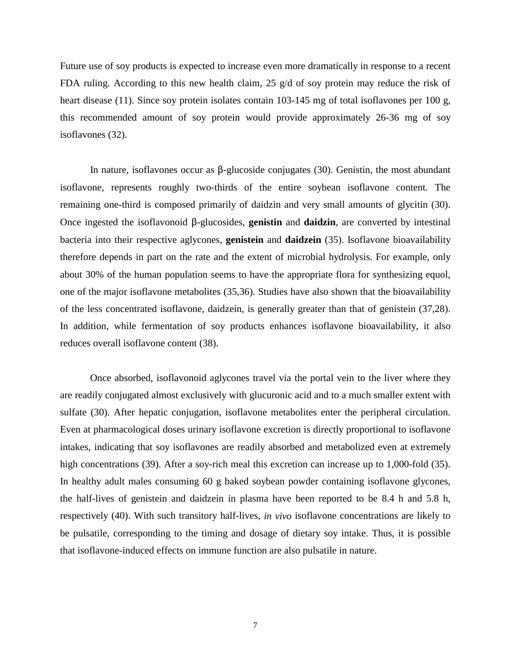Future use of soy products is expected to increase even more dramatically in response to a recent FDA ruling. According to this new health claim, 25  $g/d$  of soy protein may reduce the risk of heart disease (11). Since soy protein isolates contain 103-145 mg of total isoflavones per 100 g, this recommended amount of soy protein would provide approximately 26-36 mg of soy isoflavones (32).

In nature, isoflavones occur as  $\beta$ -glucoside conjugates (30). Genistin, the most abundant isoflavone, represents roughly two-thirds of the entire soybean isoflavone content. The remaining one-third is composed primarily of daidzin and very small amounts of glycitin (30). Once ingested the isoflavonoid  $\beta$ -glucosides, **genistin** and **daidzin**, are converted by intestinal bacteria into their respective aglycones, **genistein** and **daidzein** (35). Isoflavone bioavailability therefore depends in part on the rate and the extent of microbial hydrolysis. For example, only about 30% of the human population seems to have the appropriate flora for synthesizing equol, one of the major isoflavone metabolites (35,36). Studies have also shown that the bioavailability of the less concentrated isoflavone, daidzein, is generally greater than that of genistein (37,28). In addition, while fermentation of soy products enhances isoflavone bioavailability, it also reduces overall isoflavone content (38).

 Once absorbed, isoflavonoid aglycones travel via the portal vein to the liver where they are readily conjugated almost exclusively with glucuronic acid and to a much smaller extent with sulfate (30). After hepatic conjugation, isoflavone metabolites enter the peripheral circulation. Even at pharmacological doses urinary isoflavone excretion is directly proportional to isoflavone intakes, indicating that soy isoflavones are readily absorbed and metabolized even at extremely high concentrations (39). After a soy-rich meal this excretion can increase up to 1,000-fold (35). In healthy adult males consuming 60 g baked soybean powder containing isoflavone glycones, the half-lives of genistein and daidzein in plasma have been reported to be 8.4 h and 5.8 h, respectively (40). With such transitory half-lives, *in vivo* isoflavone concentrations are likely to be pulsatile, corresponding to the timing and dosage of dietary soy intake. Thus, it is possible that isoflavone-induced effects on immune function are also pulsatile in nature.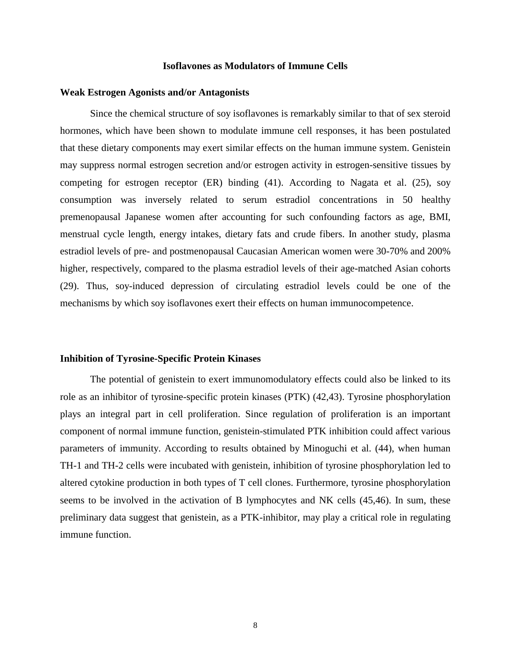### **Isoflavones as Modulators of Immune Cells**

#### **Weak Estrogen Agonists and/or Antagonists**

Since the chemical structure of soy isoflavones is remarkably similar to that of sex steroid hormones, which have been shown to modulate immune cell responses, it has been postulated that these dietary components may exert similar effects on the human immune system. Genistein may suppress normal estrogen secretion and/or estrogen activity in estrogen-sensitive tissues by competing for estrogen receptor (ER) binding (41). According to Nagata et al. (25), soy consumption was inversely related to serum estradiol concentrations in 50 healthy premenopausal Japanese women after accounting for such confounding factors as age, BMI, menstrual cycle length, energy intakes, dietary fats and crude fibers. In another study, plasma estradiol levels of pre- and postmenopausal Caucasian American women were 30-70% and 200% higher, respectively, compared to the plasma estradiol levels of their age-matched Asian cohorts (29). Thus, soy-induced depression of circulating estradiol levels could be one of the mechanisms by which soy isoflavones exert their effects on human immunocompetence.

#### **Inhibition of Tyrosine-Specific Protein Kinases**

The potential of genistein to exert immunomodulatory effects could also be linked to its role as an inhibitor of tyrosine-specific protein kinases (PTK) (42,43). Tyrosine phosphorylation plays an integral part in cell proliferation. Since regulation of proliferation is an important component of normal immune function, genistein-stimulated PTK inhibition could affect various parameters of immunity. According to results obtained by Minoguchi et al. (44), when human TH-1 and TH-2 cells were incubated with genistein, inhibition of tyrosine phosphorylation led to altered cytokine production in both types of T cell clones. Furthermore, tyrosine phosphorylation seems to be involved in the activation of B lymphocytes and NK cells (45,46). In sum, these preliminary data suggest that genistein, as a PTK-inhibitor, may play a critical role in regulating immune function.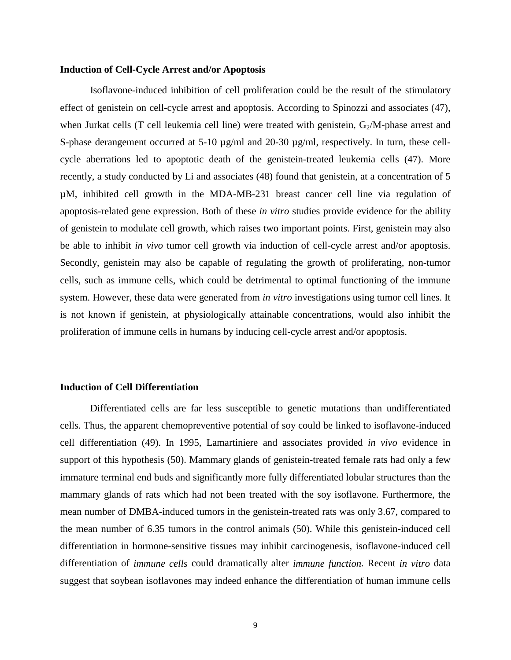### **Induction of Cell-Cycle Arrest and/or Apoptosis**

Isoflavone-induced inhibition of cell proliferation could be the result of the stimulatory effect of genistein on cell-cycle arrest and apoptosis. According to Spinozzi and associates (47), when Jurkat cells (T cell leukemia cell line) were treated with genistein,  $G_2/M$ -phase arrest and S-phase derangement occurred at 5-10  $\mu$ g/ml and 20-30  $\mu$ g/ml, respectively. In turn, these cellcycle aberrations led to apoptotic death of the genistein-treated leukemia cells (47). More recently, a study conducted by Li and associates (48) found that genistein, at a concentration of 5 µM, inhibited cell growth in the MDA-MB-231 breast cancer cell line via regulation of apoptosis-related gene expression. Both of these *in vitro* studies provide evidence for the ability of genistein to modulate cell growth, which raises two important points. First, genistein may also be able to inhibit *in vivo* tumor cell growth via induction of cell-cycle arrest and/or apoptosis. Secondly, genistein may also be capable of regulating the growth of proliferating, non-tumor cells, such as immune cells, which could be detrimental to optimal functioning of the immune system. However, these data were generated from *in vitro* investigations using tumor cell lines. It is not known if genistein, at physiologically attainable concentrations, would also inhibit the proliferation of immune cells in humans by inducing cell-cycle arrest and/or apoptosis.

#### **Induction of Cell Differentiation**

Differentiated cells are far less susceptible to genetic mutations than undifferentiated cells. Thus, the apparent chemopreventive potential of soy could be linked to isoflavone-induced cell differentiation (49). In 1995, Lamartiniere and associates provided *in vivo* evidence in support of this hypothesis (50). Mammary glands of genistein-treated female rats had only a few immature terminal end buds and significantly more fully differentiated lobular structures than the mammary glands of rats which had not been treated with the soy isoflavone. Furthermore, the mean number of DMBA-induced tumors in the genistein-treated rats was only 3.67, compared to the mean number of 6.35 tumors in the control animals (50). While this genistein-induced cell differentiation in hormone-sensitive tissues may inhibit carcinogenesis, isoflavone-induced cell differentiation of *immune cells* could dramatically alter *immune function*. Recent *in vitro* data suggest that soybean isoflavones may indeed enhance the differentiation of human immune cells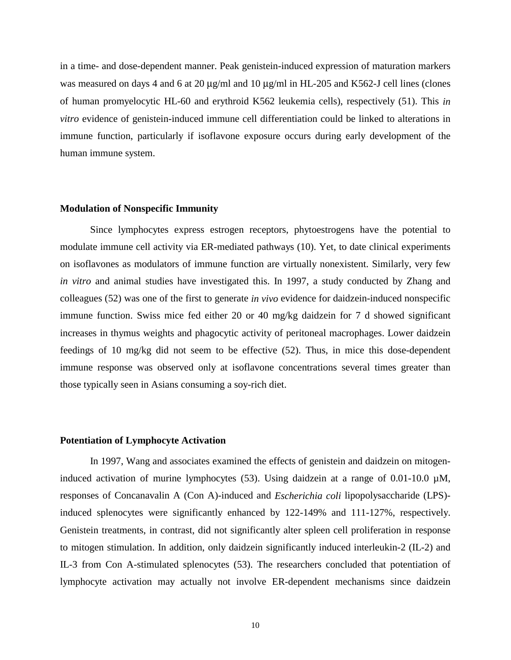in a time- and dose-dependent manner. Peak genistein-induced expression of maturation markers was measured on days 4 and 6 at 20  $\mu$ g/ml and 10  $\mu$ g/ml in HL-205 and K562-J cell lines (clones of human promyelocytic HL-60 and erythroid K562 leukemia cells), respectively (51). This *in vitro* evidence of genistein-induced immune cell differentiation could be linked to alterations in immune function, particularly if isoflavone exposure occurs during early development of the human immune system.

## **Modulation of Nonspecific Immunity**

Since lymphocytes express estrogen receptors, phytoestrogens have the potential to modulate immune cell activity via ER-mediated pathways (10). Yet, to date clinical experiments on isoflavones as modulators of immune function are virtually nonexistent. Similarly, very few *in vitro* and animal studies have investigated this. In 1997, a study conducted by Zhang and colleagues (52) was one of the first to generate *in vivo* evidence for daidzein-induced nonspecific immune function. Swiss mice fed either 20 or 40 mg/kg daidzein for 7 d showed significant increases in thymus weights and phagocytic activity of peritoneal macrophages. Lower daidzein feedings of 10 mg/kg did not seem to be effective (52). Thus, in mice this dose-dependent immune response was observed only at isoflavone concentrations several times greater than those typically seen in Asians consuming a soy-rich diet.

#### **Potentiation of Lymphocyte Activation**

In 1997, Wang and associates examined the effects of genistein and daidzein on mitogeninduced activation of murine lymphocytes  $(53)$ . Using daidzein at a range of 0.01-10.0  $\mu$ M, responses of Concanavalin A (Con A)-induced and *Escherichia coli* lipopolysaccharide (LPS) induced splenocytes were significantly enhanced by 122-149% and 111-127%, respectively. Genistein treatments, in contrast, did not significantly alter spleen cell proliferation in response to mitogen stimulation. In addition, only daidzein significantly induced interleukin-2 (IL-2) and IL-3 from Con A-stimulated splenocytes (53). The researchers concluded that potentiation of lymphocyte activation may actually not involve ER-dependent mechanisms since daidzein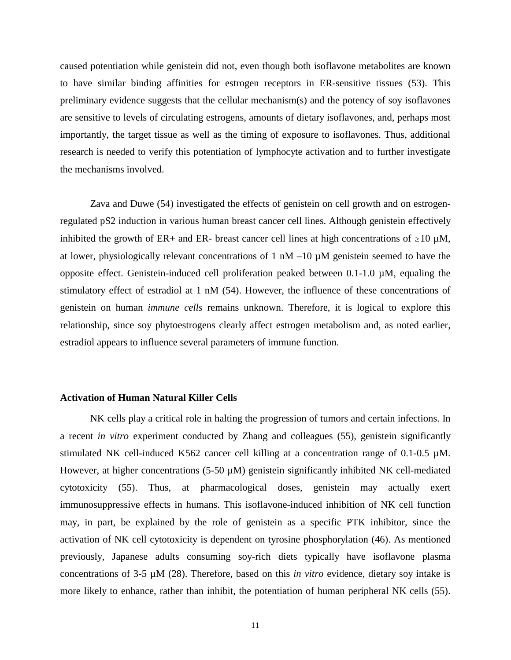caused potentiation while genistein did not, even though both isoflavone metabolites are known to have similar binding affinities for estrogen receptors in ER-sensitive tissues (53). This preliminary evidence suggests that the cellular mechanism(s) and the potency of soy isoflavones are sensitive to levels of circulating estrogens, amounts of dietary isoflavones, and, perhaps most importantly, the target tissue as well as the timing of exposure to isoflavones. Thus, additional research is needed to verify this potentiation of lymphocyte activation and to further investigate the mechanisms involved.

Zava and Duwe (54) investigated the effects of genistein on cell growth and on estrogenregulated pS2 induction in various human breast cancer cell lines. Although genistein effectively inhibited the growth of ER+ and ER- breast cancer cell lines at high concentrations of  $\geq 10 \mu M$ , at lower, physiologically relevant concentrations of 1 nM –10  $\mu$ M genistein seemed to have the opposite effect. Genistein-induced cell proliferation peaked between 0.1-1.0 µM, equaling the stimulatory effect of estradiol at 1 nM (54). However, the influence of these concentrations of genistein on human *immune cells* remains unknown. Therefore, it is logical to explore this relationship, since soy phytoestrogens clearly affect estrogen metabolism and, as noted earlier, estradiol appears to influence several parameters of immune function.

### **Activation of Human Natural Killer Cells**

NK cells play a critical role in halting the progression of tumors and certain infections. In a recent *in vitro* experiment conducted by Zhang and colleagues (55), genistein significantly stimulated NK cell-induced K562 cancer cell killing at a concentration range of 0.1-0.5 µM. However, at higher concentrations (5-50  $\mu$ M) genistein significantly inhibited NK cell-mediated cytotoxicity (55). Thus, at pharmacological doses, genistein may actually exert immunosuppressive effects in humans. This isoflavone-induced inhibition of NK cell function may, in part, be explained by the role of genistein as a specific PTK inhibitor, since the activation of NK cell cytotoxicity is dependent on tyrosine phosphorylation (46). As mentioned previously, Japanese adults consuming soy-rich diets typically have isoflavone plasma concentrations of 3-5 µM (28). Therefore, based on this *in vitro* evidence, dietary soy intake is more likely to enhance, rather than inhibit, the potentiation of human peripheral NK cells (55).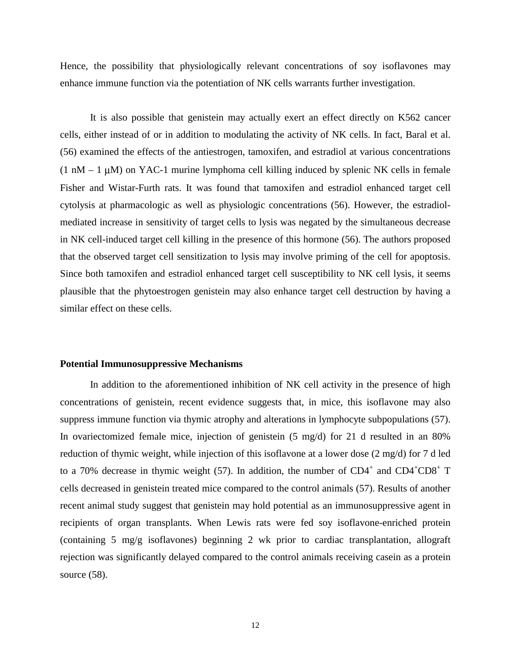Hence, the possibility that physiologically relevant concentrations of soy isoflavones may enhance immune function via the potentiation of NK cells warrants further investigation.

It is also possible that genistein may actually exert an effect directly on K562 cancer cells, either instead of or in addition to modulating the activity of NK cells. In fact, Baral et al. (56) examined the effects of the antiestrogen, tamoxifen, and estradiol at various concentrations  $(1 \text{ nM} - 1 \text{ µ})$  on YAC-1 murine lymphoma cell killing induced by splenic NK cells in female Fisher and Wistar-Furth rats. It was found that tamoxifen and estradiol enhanced target cell cytolysis at pharmacologic as well as physiologic concentrations (56). However, the estradiolmediated increase in sensitivity of target cells to lysis was negated by the simultaneous decrease in NK cell-induced target cell killing in the presence of this hormone (56). The authors proposed that the observed target cell sensitization to lysis may involve priming of the cell for apoptosis. Since both tamoxifen and estradiol enhanced target cell susceptibility to NK cell lysis, it seems plausible that the phytoestrogen genistein may also enhance target cell destruction by having a similar effect on these cells.

### **Potential Immunosuppressive Mechanisms**

In addition to the aforementioned inhibition of NK cell activity in the presence of high concentrations of genistein, recent evidence suggests that, in mice, this isoflavone may also suppress immune function via thymic atrophy and alterations in lymphocyte subpopulations (57). In ovariectomized female mice, injection of genistein (5 mg/d) for 21 d resulted in an 80% reduction of thymic weight, while injection of this isoflavone at a lower dose (2 mg/d) for 7 d led to a 70% decrease in thymic weight (57). In addition, the number of  $CD4^+$  and  $CD4^+CD8^+$  T cells decreased in genistein treated mice compared to the control animals (57). Results of another recent animal study suggest that genistein may hold potential as an immunosuppressive agent in recipients of organ transplants. When Lewis rats were fed soy isoflavone-enriched protein (containing 5 mg/g isoflavones) beginning 2 wk prior to cardiac transplantation, allograft rejection was significantly delayed compared to the control animals receiving casein as a protein source (58).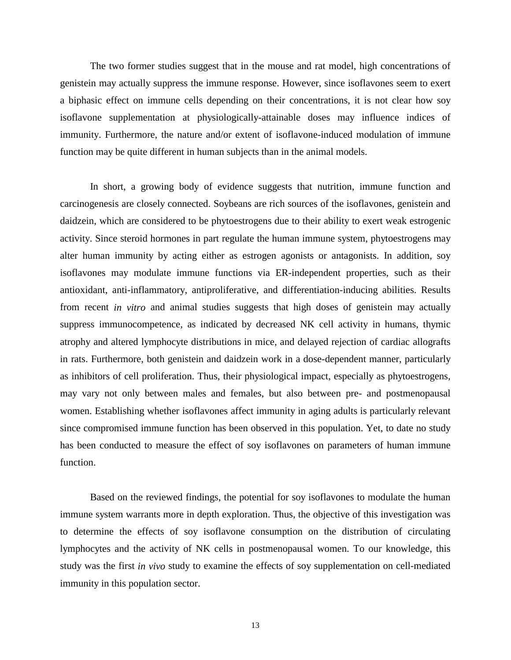The two former studies suggest that in the mouse and rat model, high concentrations of genistein may actually suppress the immune response. However, since isoflavones seem to exert a biphasic effect on immune cells depending on their concentrations, it is not clear how soy isoflavone supplementation at physiologically-attainable doses may influence indices of immunity. Furthermore, the nature and/or extent of isoflavone-induced modulation of immune function may be quite different in human subjects than in the animal models.

 In short, a growing body of evidence suggests that nutrition, immune function and carcinogenesis are closely connected. Soybeans are rich sources of the isoflavones, genistein and daidzein, which are considered to be phytoestrogens due to their ability to exert weak estrogenic activity. Since steroid hormones in part regulate the human immune system, phytoestrogens may alter human immunity by acting either as estrogen agonists or antagonists. In addition, soy isoflavones may modulate immune functions via ER-independent properties, such as their antioxidant, anti-inflammatory, antiproliferative, and differentiation-inducing abilities. Results from recent *in vitro* and animal studies suggests that high doses of genistein may actually suppress immunocompetence, as indicated by decreased NK cell activity in humans, thymic atrophy and altered lymphocyte distributions in mice, and delayed rejection of cardiac allografts in rats. Furthermore, both genistein and daidzein work in a dose-dependent manner, particularly as inhibitors of cell proliferation. Thus, their physiological impact, especially as phytoestrogens, may vary not only between males and females, but also between pre- and postmenopausal women. Establishing whether isoflavones affect immunity in aging adults is particularly relevant since compromised immune function has been observed in this population. Yet, to date no study has been conducted to measure the effect of soy isoflavones on parameters of human immune function.

 Based on the reviewed findings, the potential for soy isoflavones to modulate the human immune system warrants more in depth exploration. Thus, the objective of this investigation was to determine the effects of soy isoflavone consumption on the distribution of circulating lymphocytes and the activity of NK cells in postmenopausal women. To our knowledge, this study was the first *in vivo* study to examine the effects of soy supplementation on cell-mediated immunity in this population sector.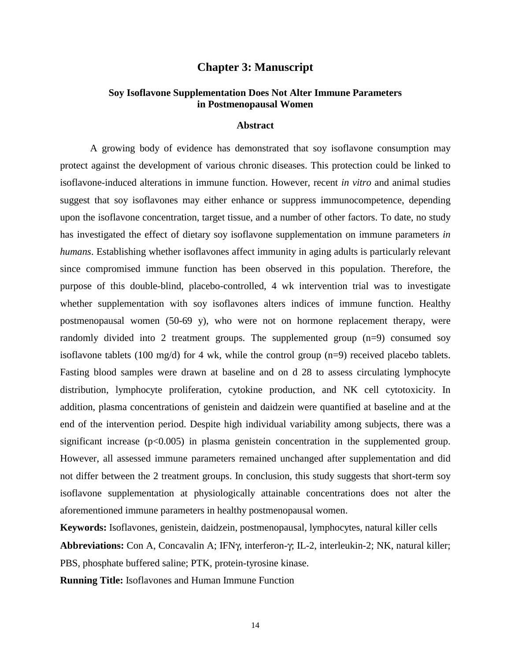## **Chapter 3: Manuscript**

## **Soy Isoflavone Supplementation Does Not Alter Immune Parameters in Postmenopausal Women**

## **Abstract**

A growing body of evidence has demonstrated that soy isoflavone consumption may protect against the development of various chronic diseases. This protection could be linked to isoflavone-induced alterations in immune function. However, recent *in vitro* and animal studies suggest that soy isoflavones may either enhance or suppress immunocompetence, depending upon the isoflavone concentration, target tissue, and a number of other factors. To date, no study has investigated the effect of dietary soy isoflavone supplementation on immune parameters *in humans*. Establishing whether isoflavones affect immunity in aging adults is particularly relevant since compromised immune function has been observed in this population. Therefore, the purpose of this double-blind, placebo-controlled, 4 wk intervention trial was to investigate whether supplementation with soy isoflavones alters indices of immune function. Healthy postmenopausal women (50-69 y), who were not on hormone replacement therapy, were randomly divided into 2 treatment groups. The supplemented group (n=9) consumed soy isoflavone tablets (100 mg/d) for 4 wk, while the control group  $(n=9)$  received placebo tablets. Fasting blood samples were drawn at baseline and on d 28 to assess circulating lymphocyte distribution, lymphocyte proliferation, cytokine production, and NK cell cytotoxicity. In addition, plasma concentrations of genistein and daidzein were quantified at baseline and at the end of the intervention period. Despite high individual variability among subjects, there was a significant increase  $(p<0.005)$  in plasma genistein concentration in the supplemented group. However, all assessed immune parameters remained unchanged after supplementation and did not differ between the 2 treatment groups. In conclusion, this study suggests that short-term soy isoflavone supplementation at physiologically attainable concentrations does not alter the aforementioned immune parameters in healthy postmenopausal women.

**Keywords:** Isoflavones, genistein, daidzein, postmenopausal, lymphocytes, natural killer cells **Abbreviations:** Con A, Concavalin A; IFNγ, interferon-γ; IL-2, interleukin-2; NK, natural killer; PBS, phosphate buffered saline; PTK, protein-tyrosine kinase.

**Running Title:** Isoflavones and Human Immune Function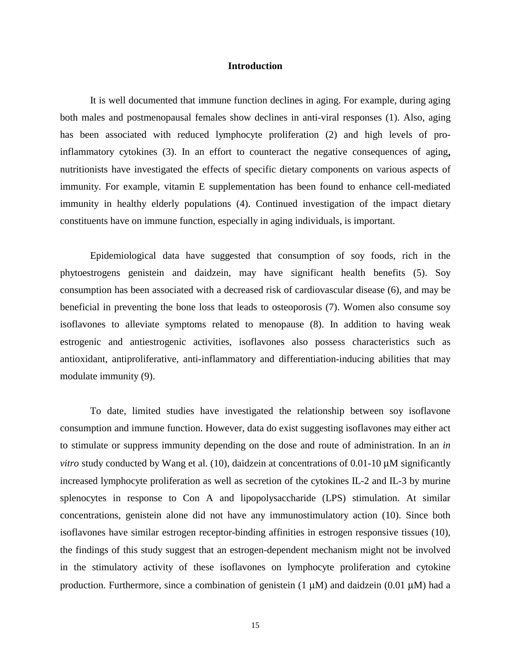### **Introduction**

It is well documented that immune function declines in aging. For example, during aging both males and postmenopausal females show declines in anti-viral responses (1). Also, aging has been associated with reduced lymphocyte proliferation (2) and high levels of proinflammatory cytokines (3). In an effort to counteract the negative consequences of aging**,**  nutritionists have investigated the effects of specific dietary components on various aspects of immunity. For example, vitamin E supplementation has been found to enhance cell-mediated immunity in healthy elderly populations (4). Continued investigation of the impact dietary constituents have on immune function, especially in aging individuals, is important.

Epidemiological data have suggested that consumption of soy foods, rich in the phytoestrogens genistein and daidzein, may have significant health benefits (5). Soy consumption has been associated with a decreased risk of cardiovascular disease (6), and may be beneficial in preventing the bone loss that leads to osteoporosis (7). Women also consume soy isoflavones to alleviate symptoms related to menopause (8). In addition to having weak estrogenic and antiestrogenic activities, isoflavones also possess characteristics such as antioxidant, antiproliferative, anti-inflammatory and differentiation-inducing abilities that may modulate immunity (9).

To date, limited studies have investigated the relationship between soy isoflavone consumption and immune function. However, data do exist suggesting isoflavones may either act to stimulate or suppress immunity depending on the dose and route of administration. In an *in vitro* study conducted by Wang et al. (10), daidzein at concentrations of 0.01-10  $\mu$ M significantly increased lymphocyte proliferation as well as secretion of the cytokines IL-2 and IL-3 by murine splenocytes in response to Con A and lipopolysaccharide (LPS) stimulation. At similar concentrations, genistein alone did not have any immunostimulatory action (10). Since both isoflavones have similar estrogen receptor-binding affinities in estrogen responsive tissues (10), the findings of this study suggest that an estrogen-dependent mechanism might not be involved in the stimulatory activity of these isoflavones on lymphocyte proliferation and cytokine production. Furthermore, since a combination of genistein  $(1 \mu M)$  and daidzein  $(0.01 \mu M)$  had a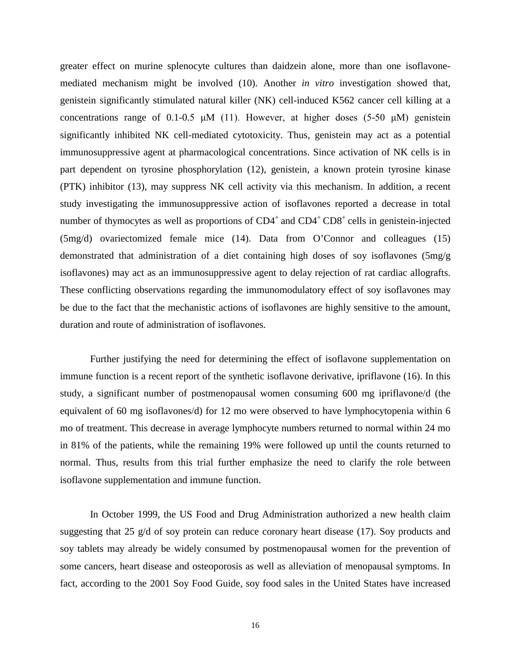greater effect on murine splenocyte cultures than daidzein alone, more than one isoflavonemediated mechanism might be involved (10). Another *in vitro* investigation showed that, genistein significantly stimulated natural killer (NK) cell-induced K562 cancer cell killing at a concentrations range of 0.1-0.5  $\mu$ M (11). However, at higher doses (5-50  $\mu$ M) genistein significantly inhibited NK cell-mediated cytotoxicity. Thus, genistein may act as a potential immunosuppressive agent at pharmacological concentrations. Since activation of NK cells is in part dependent on tyrosine phosphorylation (12), genistein, a known protein tyrosine kinase (PTK) inhibitor (13), may suppress NK cell activity via this mechanism. In addition, a recent study investigating the immunosuppressive action of isoflavones reported a decrease in total number of thymocytes as well as proportions of  $CD4^+$  and  $CD4^+$   $CD8^+$  cells in genistein-injected (5mg/d) ovariectomized female mice (14). Data from O'Connor and colleagues (15) demonstrated that administration of a diet containing high doses of soy isoflavones (5mg/g isoflavones) may act as an immunosuppressive agent to delay rejection of rat cardiac allografts. These conflicting observations regarding the immunomodulatory effect of soy isoflavones may be due to the fact that the mechanistic actions of isoflavones are highly sensitive to the amount, duration and route of administration of isoflavones.

Further justifying the need for determining the effect of isoflavone supplementation on immune function is a recent report of the synthetic isoflavone derivative, ipriflavone (16). In this study, a significant number of postmenopausal women consuming 600 mg ipriflavone/d (the equivalent of 60 mg isoflavones/d) for 12 mo were observed to have lymphocytopenia within 6 mo of treatment. This decrease in average lymphocyte numbers returned to normal within 24 mo in 81% of the patients, while the remaining 19% were followed up until the counts returned to normal. Thus, results from this trial further emphasize the need to clarify the role between isoflavone supplementation and immune function.

In October 1999, the US Food and Drug Administration authorized a new health claim suggesting that 25 g/d of soy protein can reduce coronary heart disease (17). Soy products and soy tablets may already be widely consumed by postmenopausal women for the prevention of some cancers, heart disease and osteoporosis as well as alleviation of menopausal symptoms. In fact, according to the 2001 Soy Food Guide, soy food sales in the United States have increased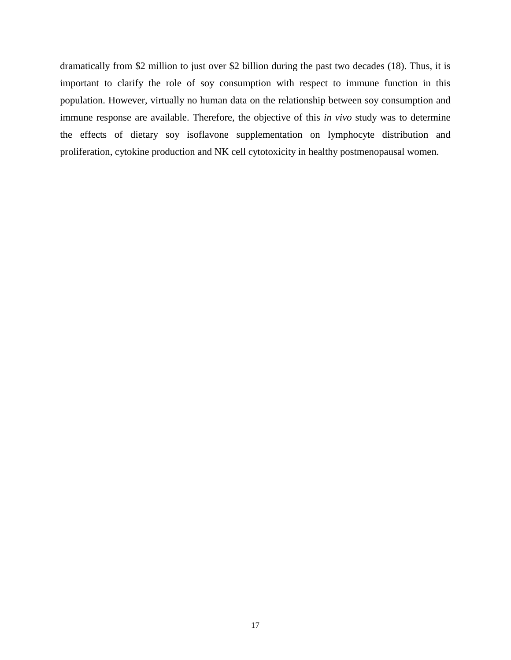dramatically from \$2 million to just over \$2 billion during the past two decades (18). Thus, it is important to clarify the role of soy consumption with respect to immune function in this population. However, virtually no human data on the relationship between soy consumption and immune response are available. Therefore, the objective of this *in vivo* study was to determine the effects of dietary soy isoflavone supplementation on lymphocyte distribution and proliferation, cytokine production and NK cell cytotoxicity in healthy postmenopausal women.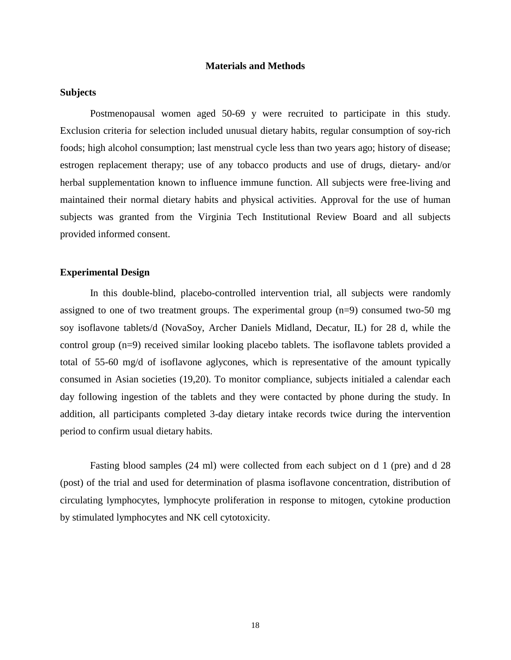## **Materials and Methods**

## **Subjects**

Postmenopausal women aged 50-69 y were recruited to participate in this study. Exclusion criteria for selection included unusual dietary habits, regular consumption of soy-rich foods; high alcohol consumption; last menstrual cycle less than two years ago; history of disease; estrogen replacement therapy; use of any tobacco products and use of drugs, dietary- and/or herbal supplementation known to influence immune function. All subjects were free-living and maintained their normal dietary habits and physical activities. Approval for the use of human subjects was granted from the Virginia Tech Institutional Review Board and all subjects provided informed consent.

## **Experimental Design**

In this double-blind, placebo-controlled intervention trial, all subjects were randomly assigned to one of two treatment groups. The experimental group (n=9) consumed two-50 mg soy isoflavone tablets/d (NovaSoy, Archer Daniels Midland, Decatur, IL) for 28 d, while the control group (n=9) received similar looking placebo tablets. The isoflavone tablets provided a total of 55-60 mg/d of isoflavone aglycones, which is representative of the amount typically consumed in Asian societies (19,20). To monitor compliance, subjects initialed a calendar each day following ingestion of the tablets and they were contacted by phone during the study. In addition, all participants completed 3-day dietary intake records twice during the intervention period to confirm usual dietary habits.

 Fasting blood samples (24 ml) were collected from each subject on d 1 (pre) and d 28 (post) of the trial and used for determination of plasma isoflavone concentration, distribution of circulating lymphocytes, lymphocyte proliferation in response to mitogen, cytokine production by stimulated lymphocytes and NK cell cytotoxicity.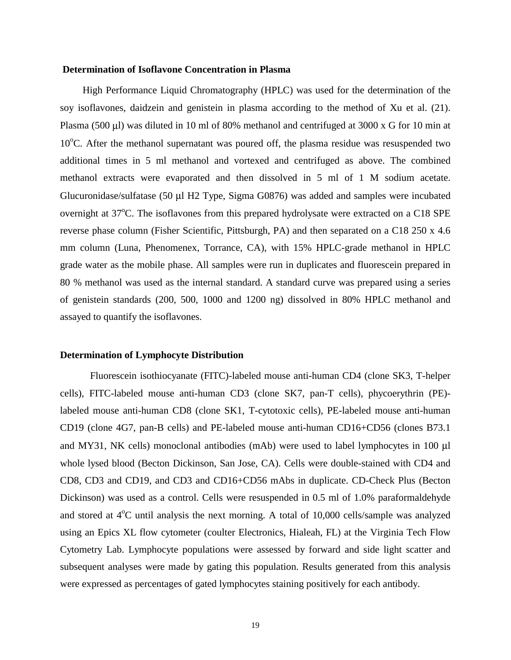#### **Determination of Isoflavone Concentration in Plasma**

High Performance Liquid Chromatography (HPLC) was used for the determination of the soy isoflavones, daidzein and genistein in plasma according to the method of Xu et al. (21). Plasma (500 µl) was diluted in 10 ml of 80% methanol and centrifuged at 3000 x G for 10 min at 10°C. After the methanol supernatant was poured off, the plasma residue was resuspended two additional times in 5 ml methanol and vortexed and centrifuged as above. The combined methanol extracts were evaporated and then dissolved in 5 ml of 1 M sodium acetate. Glucuronidase/sulfatase (50 µl H2 Type, Sigma G0876) was added and samples were incubated overnight at 37°C. The isoflavones from this prepared hydrolysate were extracted on a C18 SPE reverse phase column (Fisher Scientific, Pittsburgh, PA) and then separated on a C18 250 x 4.6 mm column (Luna, Phenomenex, Torrance, CA), with 15% HPLC-grade methanol in HPLC grade water as the mobile phase. All samples were run in duplicates and fluorescein prepared in 80 % methanol was used as the internal standard. A standard curve was prepared using a series of genistein standards (200, 500, 1000 and 1200 ng) dissolved in 80% HPLC methanol and assayed to quantify the isoflavones.

#### **Determination of Lymphocyte Distribution**

Fluorescein isothiocyanate (FITC)-labeled mouse anti-human CD4 (clone SK3, T-helper cells), FITC-labeled mouse anti-human CD3 (clone SK7, pan-T cells), phycoerythrin (PE) labeled mouse anti-human CD8 (clone SK1, T-cytotoxic cells), PE-labeled mouse anti-human CD19 (clone 4G7, pan-B cells) and PE-labeled mouse anti-human CD16+CD56 (clones B73.1 and MY31, NK cells) monoclonal antibodies (mAb) were used to label lymphocytes in 100 µl whole lysed blood (Becton Dickinson, San Jose, CA). Cells were double-stained with CD4 and CD8, CD3 and CD19, and CD3 and CD16+CD56 mAbs in duplicate. CD-Check Plus (Becton Dickinson) was used as a control. Cells were resuspended in 0.5 ml of 1.0% paraformaldehyde and stored at  $4^{\circ}$ C until analysis the next morning. A total of 10,000 cells/sample was analyzed using an Epics XL flow cytometer (coulter Electronics, Hialeah, FL) at the Virginia Tech Flow Cytometry Lab. Lymphocyte populations were assessed by forward and side light scatter and subsequent analyses were made by gating this population. Results generated from this analysis were expressed as percentages of gated lymphocytes staining positively for each antibody.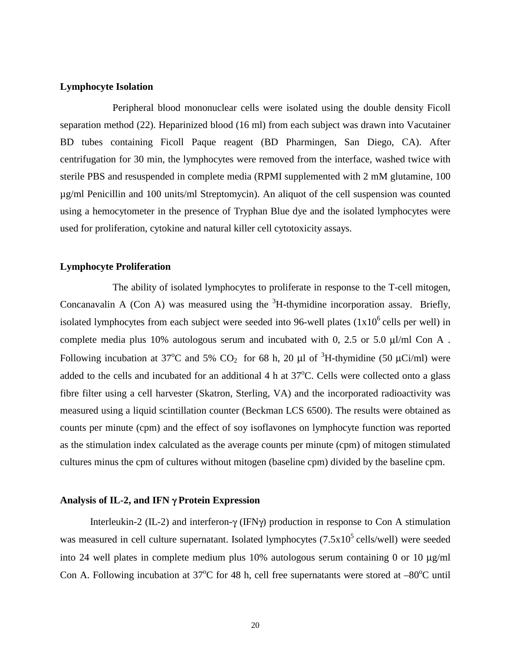## **Lymphocyte Isolation**

Peripheral blood mononuclear cells were isolated using the double density Ficoll separation method (22). Heparinized blood (16 ml) from each subject was drawn into Vacutainer BD tubes containing Ficoll Paque reagent (BD Pharmingen, San Diego, CA). After centrifugation for 30 min, the lymphocytes were removed from the interface, washed twice with sterile PBS and resuspended in complete media (RPMI supplemented with 2 mM glutamine, 100 µg/ml Penicillin and 100 units/ml Streptomycin). An aliquot of the cell suspension was counted using a hemocytometer in the presence of Tryphan Blue dye and the isolated lymphocytes were used for proliferation, cytokine and natural killer cell cytotoxicity assays.

## **Lymphocyte Proliferation**

The ability of isolated lymphocytes to proliferate in response to the T-cell mitogen, Concanavalin A (Con A) was measured using the  ${}^{3}H$ -thymidine incorporation assay. Briefly, isolated lymphocytes from each subject were seeded into 96-well plates  $(1x10^6 \text{ cells per well})$  in complete media plus 10% autologous serum and incubated with 0, 2.5 or 5.0 µl/ml Con A . Following incubation at 37<sup>o</sup>C and 5% CO<sub>2</sub> for 68 h, 20 µl of <sup>3</sup>H-thymidine (50 µCi/ml) were added to the cells and incubated for an additional  $4 h$  at  $37^{\circ}$ C. Cells were collected onto a glass fibre filter using a cell harvester (Skatron, Sterling, VA) and the incorporated radioactivity was measured using a liquid scintillation counter (Beckman LCS 6500). The results were obtained as counts per minute (cpm) and the effect of soy isoflavones on lymphocyte function was reported as the stimulation index calculated as the average counts per minute (cpm) of mitogen stimulated cultures minus the cpm of cultures without mitogen (baseline cpm) divided by the baseline cpm.

### **Analysis of IL-2, and IFN** γ **Protein Expression**

Interleukin-2 (IL-2) and interferon-γ (IFNγ) production in response to Con A stimulation was measured in cell culture supernatant. Isolated lymphocytes  $(7.5x10^5 \text{ cells/well})$  were seeded into 24 well plates in complete medium plus 10% autologous serum containing 0 or 10 µg/ml Con A. Following incubation at  $37^{\circ}$ C for 48 h, cell free supernatants were stored at  $-80^{\circ}$ C until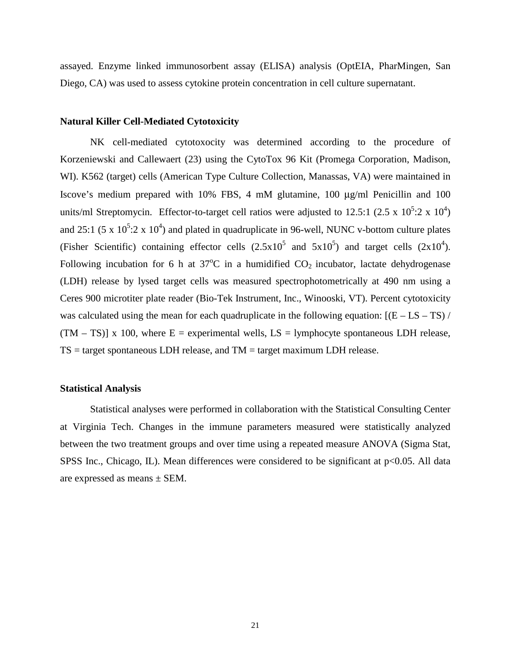assayed. Enzyme linked immunosorbent assay (ELISA) analysis (OptEIA, PharMingen, San Diego, CA) was used to assess cytokine protein concentration in cell culture supernatant.

### **Natural Killer Cell-Mediated Cytotoxicity**

NK cell-mediated cytotoxocity was determined according to the procedure of Korzeniewski and Callewaert (23) using the CytoTox 96 Kit (Promega Corporation, Madison, WI). K562 (target) cells (American Type Culture Collection, Manassas, VA) were maintained in Iscove's medium prepared with 10% FBS, 4 mM glutamine, 100 µg/ml Penicillin and 100 units/ml Streptomycin. Effector-to-target cell ratios were adjusted to 12.5:1 (2.5 x  $10^5$ :2 x  $10^4$ ) and 25:1 (5 x  $10^5$ :2 x  $10^4$ ) and plated in quadruplicate in 96-well, NUNC v-bottom culture plates (Fisher Scientific) containing effector cells  $(2.5 \times 10^5 \text{ and } 5 \times 10^5)$  and target cells  $(2 \times 10^4)$ . Following incubation for 6 h at  $37^{\circ}$ C in a humidified  $CO_2$  incubator, lactate dehydrogenase (LDH) release by lysed target cells was measured spectrophotometrically at 490 nm using a Ceres 900 microtiter plate reader (Bio-Tek Instrument, Inc., Winooski, VT). Percent cytotoxicity was calculated using the mean for each quadruplicate in the following equation:  $[(E - LS - TS) /$  $(TM - TS)$ ] x 100, where  $E =$  experimental wells,  $LS =$  lymphocyte spontaneous LDH release,  $TS = target$  spontaneous LDH release, and  $TM = target$  maximum LDH release.

#### **Statistical Analysis**

Statistical analyses were performed in collaboration with the Statistical Consulting Center at Virginia Tech. Changes in the immune parameters measured were statistically analyzed between the two treatment groups and over time using a repeated measure ANOVA (Sigma Stat, SPSS Inc., Chicago, IL). Mean differences were considered to be significant at  $p<0.05$ . All data are expressed as means ± SEM.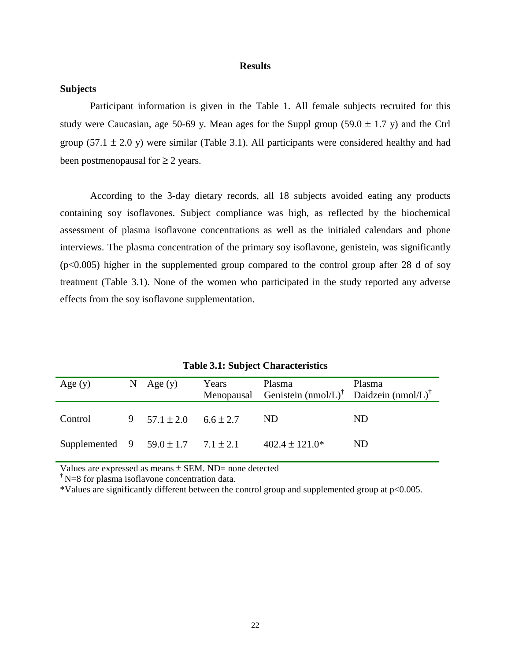#### **Results**

## **Subjects**

Participant information is given in the Table 1. All female subjects recruited for this study were Caucasian, age 50-69 y. Mean ages for the Suppl group (59.0  $\pm$  1.7 y) and the Ctrl group (57.1  $\pm$  2.0 y) were similar (Table 3.1). All participants were considered healthy and had been postmenopausal for  $\geq 2$  years.

According to the 3-day dietary records, all 18 subjects avoided eating any products containing soy isoflavones. Subject compliance was high, as reflected by the biochemical assessment of plasma isoflavone concentrations as well as the initialed calendars and phone interviews. The plasma concentration of the primary soy isoflavone, genistein, was significantly  $(p<0.005)$  higher in the supplemented group compared to the control group after 28 d of soy treatment (Table 3.1). None of the women who participated in the study reported any adverse effects from the soy isoflavone supplementation.

| Age $(y)$                                   | N | Age $(y)$        | Years         | Plasma<br>Menopausal Genistein $(nmol/L)^{\dagger}$ Daidzein $(nmol/L)^{\dagger}$ | Plasma |
|---------------------------------------------|---|------------------|---------------|-----------------------------------------------------------------------------------|--------|
| Control                                     |   | 9 $57.1 \pm 2.0$ | $6.6 \pm 2.7$ | ND.                                                                               | ND.    |
| Supplemented 9 $59.0 \pm 1.7$ $7.1 \pm 2.1$ |   |                  |               | $402.4 \pm 121.0*$                                                                | ND.    |

**Table 3.1: Subject Characteristics**

Values are expressed as means  $\pm$  SEM. ND= none detected

<sup> $\dagger$ </sup> N=8 for plasma isoflavone concentration data.

\*Values are significantly different between the control group and supplemented group at p<0.005.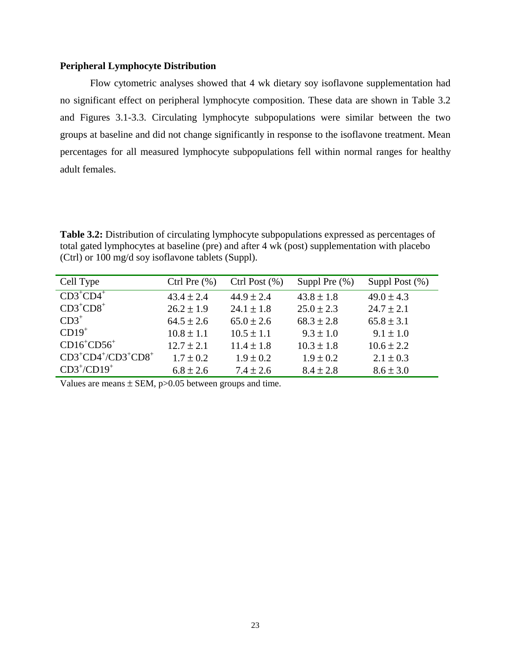## **Peripheral Lymphocyte Distribution**

Flow cytometric analyses showed that 4 wk dietary soy isoflavone supplementation had no significant effect on peripheral lymphocyte composition. These data are shown in Table 3.2 and Figures 3.1-3.3. Circulating lymphocyte subpopulations were similar between the two groups at baseline and did not change significantly in response to the isoflavone treatment. Mean percentages for all measured lymphocyte subpopulations fell within normal ranges for healthy adult females.

**Table 3.2:** Distribution of circulating lymphocyte subpopulations expressed as percentages of total gated lymphocytes at baseline (pre) and after 4 wk (post) supplementation with placebo (Ctrl) or 100 mg/d soy isoflavone tablets (Suppl).

| Cell Type               | Ctrl Pre $(\% )$ | Ctrl Post $(\% )$ | Suppl Pre $(\%)$ | Suppl Post $(\%)$ |
|-------------------------|------------------|-------------------|------------------|-------------------|
| $CD3^+CD4^+$            | $43.4 \pm 2.4$   | $44.9 \pm 2.4$    | $43.8 \pm 1.8$   | $49.0 \pm 4.3$    |
| $CD3^+CD8^+$            | $26.2 \pm 1.9$   | $24.1 \pm 1.8$    | $25.0 \pm 2.3$   | $24.7 \pm 2.1$    |
| $CD3^+$                 | $64.5 \pm 2.6$   | $65.0 \pm 2.6$    | $68.3 \pm 2.8$   | $65.8 \pm 3.1$    |
| $CD19+$                 | $10.8 \pm 1.1$   | $10.5 \pm 1.1$    | $9.3 \pm 1.0$    | $9.1 \pm 1.0$     |
| $CD16^+CD56^+$          | $12.7 \pm 2.1$   | $11.4 \pm 1.8$    | $10.3 \pm 1.8$   | $10.6 \pm 2.2$    |
| $CD3^+CD4^+/CD3^+CD8^+$ | $1.7 \pm 0.2$    | $1.9 \pm 0.2$     | $1.9 \pm 0.2$    | $2.1 \pm 0.3$     |
| $CD3^+/CD19^+$          | $6.8 \pm 2.6$    | $7.4 \pm 2.6$     | $8.4 \pm 2.8$    | $8.6 \pm 3.0$     |

Values are means  $\pm$  SEM, p $>0.05$  between groups and time.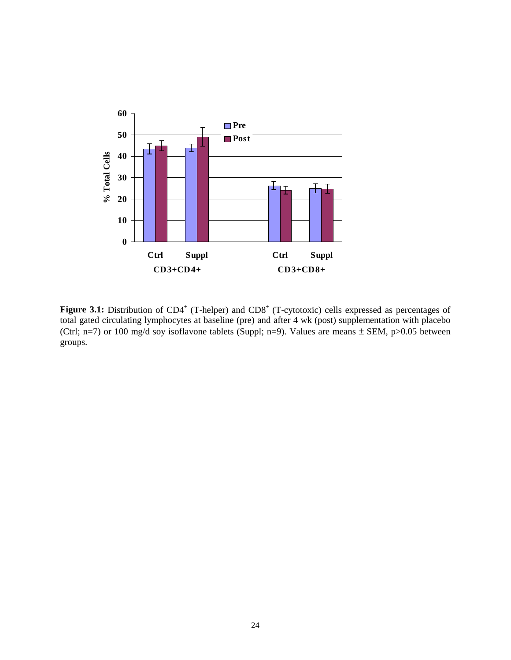

Figure 3.1: Distribution of CD4<sup>+</sup> (T-helper) and CD8<sup>+</sup> (T-cytotoxic) cells expressed as percentages of total gated circulating lymphocytes at baseline (pre) and after 4 wk (post) supplementation with placebo (Ctrl; n=7) or 100 mg/d soy isoflavone tablets (Suppl; n=9). Values are means  $\pm$  SEM, p>0.05 between groups.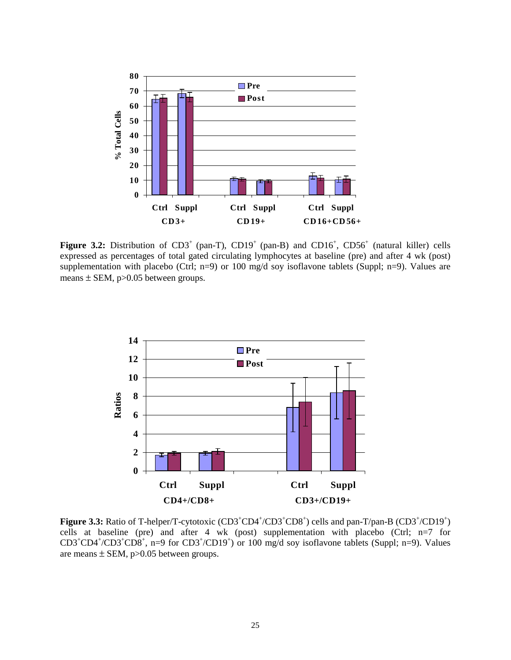

**Figure 3.2:** Distribution of  $CD3^+$  (pan-T),  $CD19^+$  (pan-B) and  $CD16^+$ ,  $CD56^+$  (natural killer) cells expressed as percentages of total gated circulating lymphocytes at baseline (pre) and after 4 wk (post) supplementation with placebo (Ctrl; n=9) or 100 mg/d soy isoflavone tablets (Suppl; n=9). Values are means  $\pm$  SEM, p $>0.05$  between groups.



**Figure 3.3:** Ratio of T-helper/T-cytotoxic (CD3<sup>+</sup>CD4<sup>+</sup>/CD3<sup>+</sup>CD8<sup>+</sup>) cells and pan-T/pan-B (CD3<sup>+</sup>/CD19<sup>+</sup>) cells at baseline (pre) and after 4 wk (post) supplementation with placebo (Ctrl;  $n=7$  for  $CD3^+CD4^+$ / $CD3^+CD8^+$ , n=9 for  $CD3^+$ / $CD19^+$ ) or 100 mg/d soy isoflavone tablets (Suppl; n=9). Values are means  $\pm$  SEM, p $>0.05$  between groups.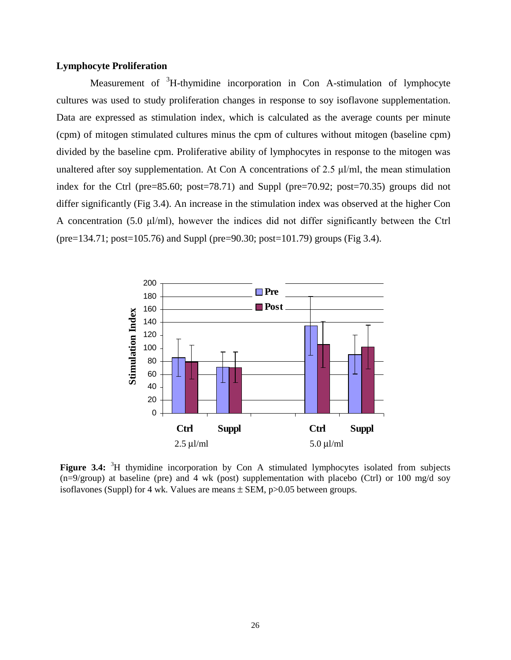## **Lymphocyte Proliferation**

Measurement of <sup>3</sup>H-thymidine incorporation in Con A-stimulation of lymphocyte cultures was used to study proliferation changes in response to soy isoflavone supplementation. Data are expressed as stimulation index, which is calculated as the average counts per minute (cpm) of mitogen stimulated cultures minus the cpm of cultures without mitogen (baseline cpm) divided by the baseline cpm. Proliferative ability of lymphocytes in response to the mitogen was unaltered after soy supplementation. At Con A concentrations of 2.5  $\mu$ l/ml, the mean stimulation index for the Ctrl (pre=85.60; post=78.71) and Suppl (pre=70.92; post=70.35) groups did not differ significantly (Fig 3.4). An increase in the stimulation index was observed at the higher Con A concentration (5.0  $\mu$ l/ml), however the indices did not differ significantly between the Ctrl (pre=134.71; post=105.76) and Suppl (pre=90.30; post=101.79) groups (Fig 3.4).



Figure 3.4: <sup>3</sup>H thymidine incorporation by Con A stimulated lymphocytes isolated from subjects  $(n=9/\text{group})$  at baseline (pre) and 4 wk (post) supplementation with placebo (Ctrl) or 100 mg/d soy isoflavones (Suppl) for 4 wk. Values are means  $\pm$  SEM, p $>0.05$  between groups.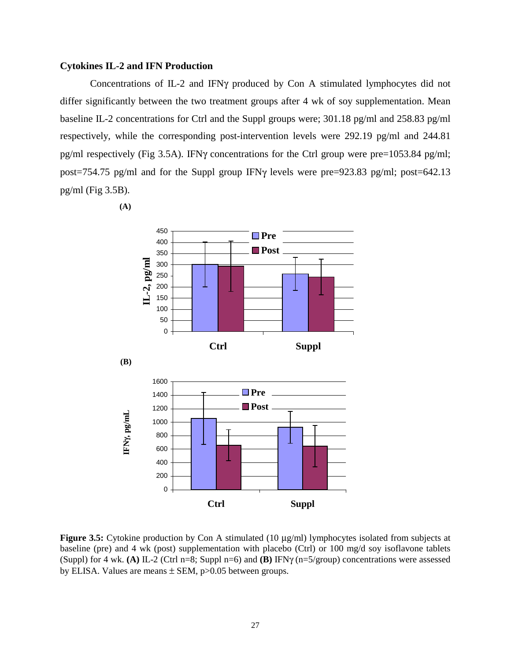### **Cytokines IL-2 and IFN Production**

Concentrations of IL-2 and IFNγ produced by Con A stimulated lymphocytes did not differ significantly between the two treatment groups after 4 wk of soy supplementation. Mean baseline IL-2 concentrations for Ctrl and the Suppl groups were; 301.18 pg/ml and 258.83 pg/ml respectively, while the corresponding post-intervention levels were 292.19 pg/ml and 244.81 pg/ml respectively (Fig 3.5A). IFNγ concentrations for the Ctrl group were pre=1053.84 pg/ml; post=754.75 pg/ml and for the Suppl group IFNγ levels were pre=923.83 pg/ml; post=642.13 pg/ml (Fig 3.5B).

 **(A)**  450 ■Pre 400 ■Post 350  $L-2$ , pg/ml **IL-2, pg/ml** 300 250 200 150 100 50 0 **Ctrl Suppl (B)** 1600 ■Pre 1400 **Post** 1200 γ**, pg/mL** 1000 800 E<br>  $^{200}$ <br>  $^{200}$ <br>
Ctrl<br>
Figure 3.5: Cytokine production by Con A stimulated (10 µg<br>
baseline (pre) and 4 wk (post) supplementation with placebo<br>
(Suppl) for 4 wk. (A) IL-2 (Ctrl n=8; Suppl n=6) and (B) IFN<sub>'</sub><br>
by ELISA 600 400 200 0 **Ctrl Suppl**

**Figure 3.5:** Cytokine production by Con A stimulated (10 µg/ml) lymphocytes isolated from subjects at baseline (pre) and 4 wk (post) supplementation with placebo (Ctrl) or 100 mg/d soy isoflavone tablets (Suppl) for 4 wk. **(A)** IL-2 (Ctrl n=8; Suppl n=6) and **(B)** IFNγ (n=5/group) concentrations were assessed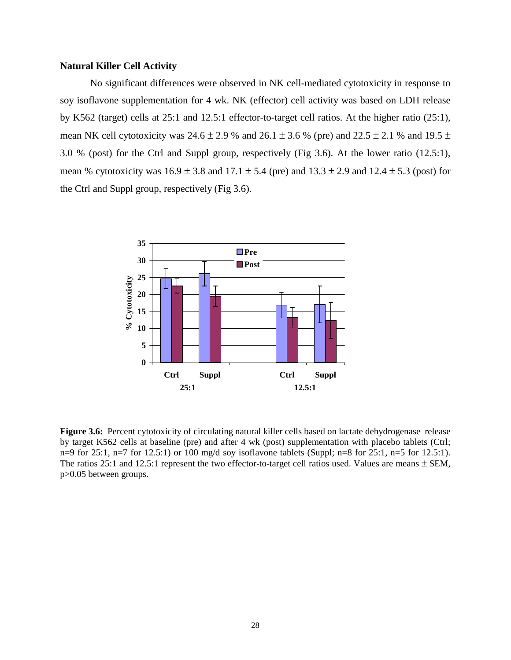## **Natural Killer Cell Activity**

No significant differences were observed in NK cell-mediated cytotoxicity in response to soy isoflavone supplementation for 4 wk. NK (effector) cell activity was based on LDH release by K562 (target) cells at 25:1 and 12.5:1 effector-to-target cell ratios. At the higher ratio (25:1), mean NK cell cytotoxicity was  $24.6 \pm 2.9$  % and  $26.1 \pm 3.6$  % (pre) and  $22.5 \pm 2.1$  % and  $19.5 \pm 2.1$ 3.0 % (post) for the Ctrl and Suppl group, respectively (Fig 3.6). At the lower ratio (12.5:1), mean % cytotoxicity was  $16.9 \pm 3.8$  and  $17.1 \pm 5.4$  (pre) and  $13.3 \pm 2.9$  and  $12.4 \pm 5.3$  (post) for the Ctrl and Suppl group, respectively (Fig 3.6).



**Figure 3.6:** Percent cytotoxicity of circulating natural killer cells based on lactate dehydrogenase release by target K562 cells at baseline (pre) and after 4 wk (post) supplementation with placebo tablets (Ctrl; n=9 for 25:1, n=7 for 12.5:1) or 100 mg/d soy isoflavone tablets (Suppl; n=8 for 25:1, n=5 for 12.5:1). The ratios 25:1 and 12.5:1 represent the two effector-to-target cell ratios used. Values are means  $\pm$  SEM, p>0.05 between groups.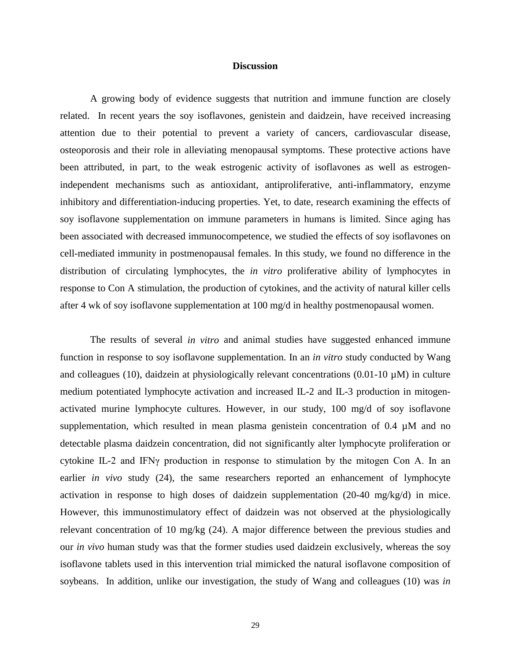### **Discussion**

A growing body of evidence suggests that nutrition and immune function are closely related. In recent years the soy isoflavones, genistein and daidzein, have received increasing attention due to their potential to prevent a variety of cancers, cardiovascular disease, osteoporosis and their role in alleviating menopausal symptoms. These protective actions have been attributed, in part, to the weak estrogenic activity of isoflavones as well as estrogenindependent mechanisms such as antioxidant, antiproliferative, anti-inflammatory, enzyme inhibitory and differentiation-inducing properties. Yet, to date, research examining the effects of soy isoflavone supplementation on immune parameters in humans is limited. Since aging has been associated with decreased immunocompetence, we studied the effects of soy isoflavones on cell-mediated immunity in postmenopausal females. In this study, we found no difference in the distribution of circulating lymphocytes, the *in vitro* proliferative ability of lymphocytes in response to Con A stimulation, the production of cytokines, and the activity of natural killer cells after 4 wk of soy isoflavone supplementation at 100 mg/d in healthy postmenopausal women.

The results of several *in vitro* and animal studies have suggested enhanced immune function in response to soy isoflavone supplementation. In an *in vitro* study conducted by Wang and colleagues (10), daidzein at physiologically relevant concentrations  $(0.01-10 \mu)$  in culture medium potentiated lymphocyte activation and increased IL-2 and IL-3 production in mitogenactivated murine lymphocyte cultures. However, in our study, 100 mg/d of soy isoflavone supplementation, which resulted in mean plasma genistein concentration of  $0.4 \mu M$  and no detectable plasma daidzein concentration, did not significantly alter lymphocyte proliferation or cytokine IL-2 and IFN $\gamma$  production in response to stimulation by the mitogen Con A. In an earlier *in vivo* study (24), the same researchers reported an enhancement of lymphocyte activation in response to high doses of daidzein supplementation (20-40 mg/kg/d) in mice. However, this immunostimulatory effect of daidzein was not observed at the physiologically relevant concentration of 10 mg/kg (24). A major difference between the previous studies and our *in vivo* human study was that the former studies used daidzein exclusively, whereas the soy isoflavone tablets used in this intervention trial mimicked the natural isoflavone composition of soybeans. In addition, unlike our investigation, the study of Wang and colleagues (10) was *in*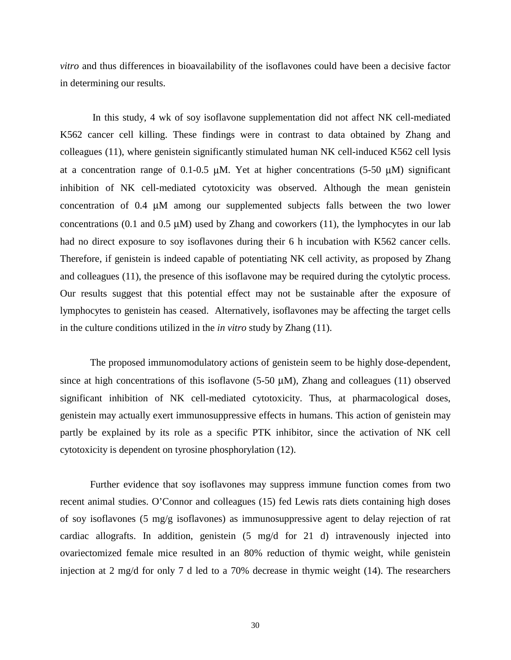*vitro* and thus differences in bioavailability of the isoflavones could have been a decisive factor in determining our results.

 In this study, 4 wk of soy isoflavone supplementation did not affect NK cell-mediated K562 cancer cell killing. These findings were in contrast to data obtained by Zhang and colleagues (11), where genistein significantly stimulated human NK cell-induced K562 cell lysis at a concentration range of 0.1-0.5  $\mu$ M. Yet at higher concentrations (5-50  $\mu$ M) significant inhibition of NK cell-mediated cytotoxicity was observed. Although the mean genistein concentration of 0.4 µM among our supplemented subjects falls between the two lower concentrations (0.1 and 0.5  $\mu$ M) used by Zhang and coworkers (11), the lymphocytes in our lab had no direct exposure to soy isoflavones during their 6 h incubation with K562 cancer cells. Therefore, if genistein is indeed capable of potentiating NK cell activity, as proposed by Zhang and colleagues (11), the presence of this isoflavone may be required during the cytolytic process. Our results suggest that this potential effect may not be sustainable after the exposure of lymphocytes to genistein has ceased. Alternatively, isoflavones may be affecting the target cells in the culture conditions utilized in the *in vitro* study by Zhang (11).

The proposed immunomodulatory actions of genistein seem to be highly dose-dependent, since at high concentrations of this isoflavone (5-50  $\mu$ M), Zhang and colleagues (11) observed significant inhibition of NK cell-mediated cytotoxicity. Thus, at pharmacological doses, genistein may actually exert immunosuppressive effects in humans. This action of genistein may partly be explained by its role as a specific PTK inhibitor, since the activation of NK cell cytotoxicity is dependent on tyrosine phosphorylation (12).

Further evidence that soy isoflavones may suppress immune function comes from two recent animal studies. O'Connor and colleagues (15) fed Lewis rats diets containing high doses of soy isoflavones (5 mg/g isoflavones) as immunosuppressive agent to delay rejection of rat cardiac allografts. In addition, genistein (5 mg/d for 21 d) intravenously injected into ovariectomized female mice resulted in an 80% reduction of thymic weight, while genistein injection at 2 mg/d for only 7 d led to a 70% decrease in thymic weight (14). The researchers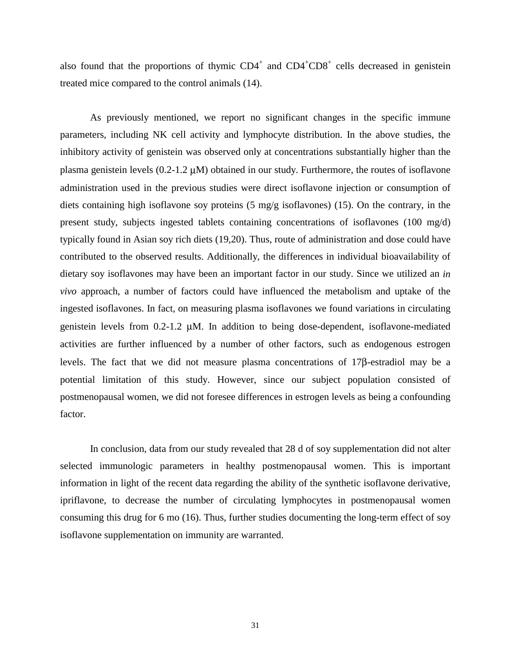also found that the proportions of thymic  $CD4^+$  and  $CD4^+CD8^+$  cells decreased in genistein treated mice compared to the control animals (14).

As previously mentioned, we report no significant changes in the specific immune parameters, including NK cell activity and lymphocyte distribution. In the above studies, the inhibitory activity of genistein was observed only at concentrations substantially higher than the plasma genistein levels (0.2-1.2 µM) obtained in our study. Furthermore, the routes of isoflavone administration used in the previous studies were direct isoflavone injection or consumption of diets containing high isoflavone soy proteins (5 mg/g isoflavones) (15). On the contrary, in the present study, subjects ingested tablets containing concentrations of isoflavones (100 mg/d) typically found in Asian soy rich diets (19,20). Thus, route of administration and dose could have contributed to the observed results. Additionally, the differences in individual bioavailability of dietary soy isoflavones may have been an important factor in our study. Since we utilized an *in vivo* approach, a number of factors could have influenced the metabolism and uptake of the ingested isoflavones. In fact, on measuring plasma isoflavones we found variations in circulating genistein levels from 0.2-1.2 µM. In addition to being dose-dependent, isoflavone-mediated activities are further influenced by a number of other factors, such as endogenous estrogen levels. The fact that we did not measure plasma concentrations of 17β-estradiol may be a potential limitation of this study. However, since our subject population consisted of postmenopausal women, we did not foresee differences in estrogen levels as being a confounding factor.

In conclusion, data from our study revealed that 28 d of soy supplementation did not alter selected immunologic parameters in healthy postmenopausal women. This is important information in light of the recent data regarding the ability of the synthetic isoflavone derivative, ipriflavone, to decrease the number of circulating lymphocytes in postmenopausal women consuming this drug for 6 mo (16). Thus, further studies documenting the long-term effect of soy isoflavone supplementation on immunity are warranted.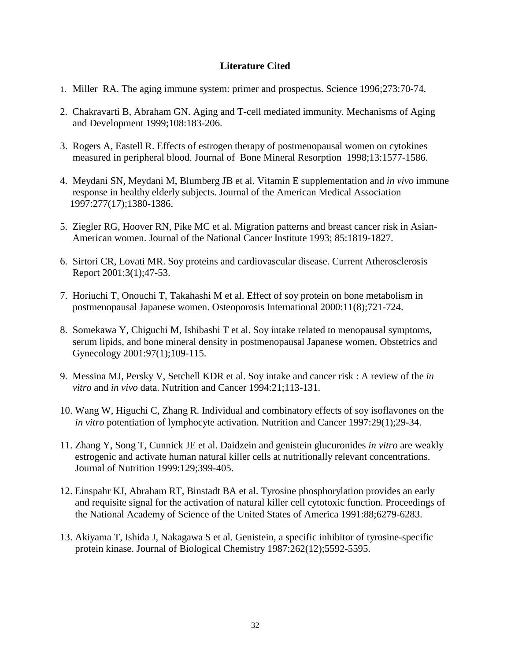## **Literature Cited**

- 1. Miller RA. The aging immune system: primer and prospectus. Science 1996;273:70-74.
- 2. Chakravarti B, Abraham GN. Aging and T-cell mediated immunity. Mechanisms of Aging and Development 1999;108:183-206.
- 3. Rogers A, Eastell R. Effects of estrogen therapy of postmenopausal women on cytokines measured in peripheral blood. Journal of Bone Mineral Resorption 1998;13:1577-1586.
- 4. Meydani SN, Meydani M, Blumberg JB et al. Vitamin E supplementation and *in vivo* immune response in healthy elderly subjects. Journal of the American Medical Association 1997:277(17);1380-1386.
- 5. Ziegler RG, Hoover RN, Pike MC et al. Migration patterns and breast cancer risk in Asian- American women. Journal of the National Cancer Institute 1993; 85:1819-1827.
- 6. Sirtori CR, Lovati MR. Soy proteins and cardiovascular disease. Current Atherosclerosis Report 2001:3(1);47-53.
- 7. Horiuchi T, Onouchi T, Takahashi M et al. Effect of soy protein on bone metabolism in postmenopausal Japanese women. Osteoporosis International 2000:11(8);721-724.
- 8. Somekawa Y, Chiguchi M, Ishibashi T et al. Soy intake related to menopausal symptoms, serum lipids, and bone mineral density in postmenopausal Japanese women. Obstetrics and Gynecology 2001:97(1);109-115.
- 9. Messina MJ, Persky V, Setchell KDR et al. Soy intake and cancer risk : A review of the *in vitro* and *in vivo* data. Nutrition and Cancer 1994:21;113-131.
- 10. Wang W, Higuchi C, Zhang R. Individual and combinatory effects of soy isoflavones on the *in vitro* potentiation of lymphocyte activation. Nutrition and Cancer 1997:29(1);29-34.
- 11. Zhang Y, Song T, Cunnick JE et al. Daidzein and genistein glucuronides *in vitro* are weakly estrogenic and activate human natural killer cells at nutritionally relevant concentrations. Journal of Nutrition 1999:129;399-405.
- 12. Einspahr KJ, Abraham RT, Binstadt BA et al. Tyrosine phosphorylation provides an early and requisite signal for the activation of natural killer cell cytotoxic function. Proceedings of the National Academy of Science of the United States of America 1991:88;6279-6283.
- 13. Akiyama T, Ishida J, Nakagawa S et al. Genistein, a specific inhibitor of tyrosine-specific protein kinase. Journal of Biological Chemistry 1987:262(12);5592-5595.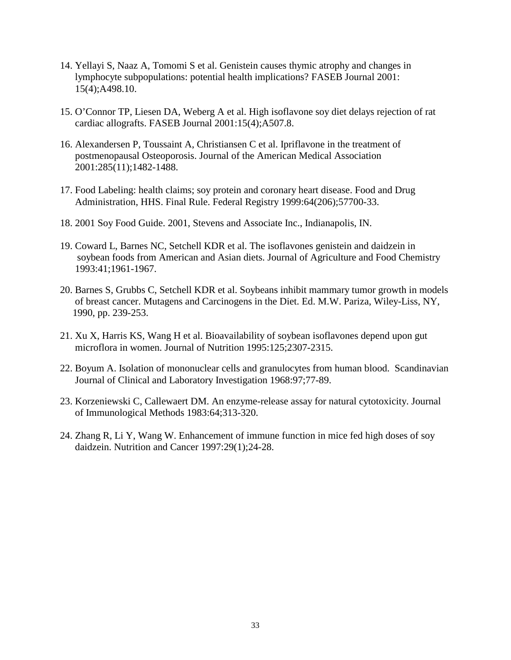- 14. Yellayi S, Naaz A, Tomomi S et al. Genistein causes thymic atrophy and changes in lymphocyte subpopulations: potential health implications? FASEB Journal 2001: 15(4);A498.10.
- 15. O'Connor TP, Liesen DA, Weberg A et al. High isoflavone soy diet delays rejection of rat cardiac allografts. FASEB Journal 2001:15(4);A507.8.
- 16. Alexandersen P, Toussaint A, Christiansen C et al. Ipriflavone in the treatment of postmenopausal Osteoporosis. Journal of the American Medical Association 2001:285(11);1482-1488.
- 17. Food Labeling: health claims; soy protein and coronary heart disease. Food and Drug Administration, HHS. Final Rule. Federal Registry 1999:64(206);57700-33.
- 18. 2001 Soy Food Guide. 2001, Stevens and Associate Inc., Indianapolis, IN.
- 19. Coward L, Barnes NC, Setchell KDR et al. The isoflavones genistein and daidzein in soybean foods from American and Asian diets. Journal of Agriculture and Food Chemistry 1993:41;1961-1967.
- 20. Barnes S, Grubbs C, Setchell KDR et al. Soybeans inhibit mammary tumor growth in models of breast cancer. Mutagens and Carcinogens in the Diet. Ed. M.W. Pariza, Wiley-Liss, NY, 1990, pp. 239-253.
- 21. Xu X, Harris KS, Wang H et al. Bioavailability of soybean isoflavones depend upon gut microflora in women. Journal of Nutrition 1995:125;2307-2315.
- 22. Boyum A. Isolation of mononuclear cells and granulocytes from human blood. Scandinavian Journal of Clinical and Laboratory Investigation 1968:97;77-89.
- 23. Korzeniewski C, Callewaert DM. An enzyme-release assay for natural cytotoxicity. Journal of Immunological Methods 1983:64;313-320.
- 24. Zhang R, Li Y, Wang W. Enhancement of immune function in mice fed high doses of soy daidzein. Nutrition and Cancer 1997:29(1);24-28.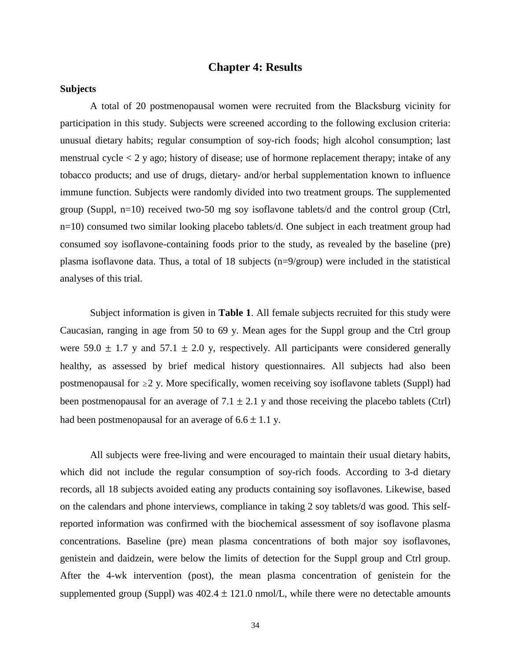## **Chapter 4: Results**

## **Subjects**

 A total of 20 postmenopausal women were recruited from the Blacksburg vicinity for participation in this study. Subjects were screened according to the following exclusion criteria: unusual dietary habits; regular consumption of soy-rich foods; high alcohol consumption; last menstrual cycle  $\lt 2$  y ago; history of disease; use of hormone replacement therapy; intake of any tobacco products; and use of drugs, dietary- and/or herbal supplementation known to influence immune function. Subjects were randomly divided into two treatment groups. The supplemented group (Suppl, n=10) received two-50 mg soy isoflavone tablets/d and the control group (Ctrl, n=10) consumed two similar looking placebo tablets/d. One subject in each treatment group had consumed soy isoflavone-containing foods prior to the study, as revealed by the baseline (pre) plasma isoflavone data. Thus, a total of 18 subjects (n=9/group) were included in the statistical analyses of this trial.

Subject information is given in **Table 1**. All female subjects recruited for this study were Caucasian, ranging in age from 50 to 69 y. Mean ages for the Suppl group and the Ctrl group were 59.0  $\pm$  1.7 y and 57.1  $\pm$  2.0 y, respectively. All participants were considered generally healthy, as assessed by brief medical history questionnaires. All subjects had also been postmenopausal for  $\geq$  2 y. More specifically, women receiving soy isoflavone tablets (Suppl) had been postmenopausal for an average of  $7.1 \pm 2.1$  y and those receiving the placebo tablets (Ctrl) had been postmenopausal for an average of  $6.6 \pm 1.1$  y.

All subjects were free-living and were encouraged to maintain their usual dietary habits, which did not include the regular consumption of soy-rich foods. According to 3-d dietary records, all 18 subjects avoided eating any products containing soy isoflavones. Likewise, based on the calendars and phone interviews, compliance in taking 2 soy tablets/d was good. This selfreported information was confirmed with the biochemical assessment of soy isoflavone plasma concentrations. Baseline (pre) mean plasma concentrations of both major soy isoflavones, genistein and daidzein, were below the limits of detection for the Suppl group and Ctrl group. After the 4-wk intervention (post), the mean plasma concentration of genistein for the supplemented group (Suppl) was  $402.4 \pm 121.0$  nmol/L, while there were no detectable amounts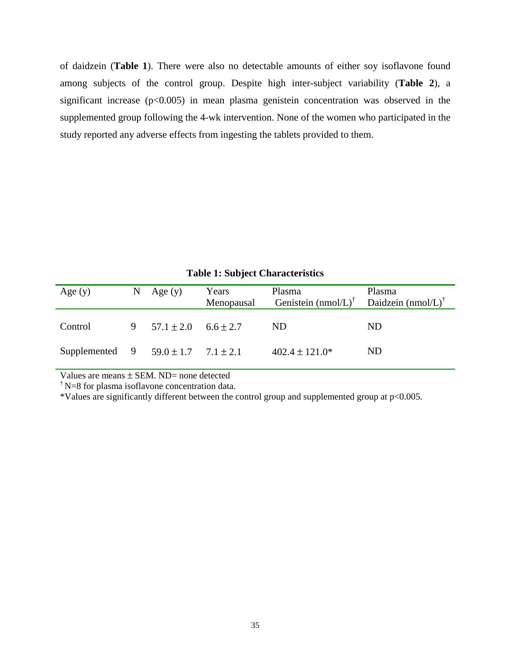of daidzein (**Table 1**). There were also no detectable amounts of either soy isoflavone found among subjects of the control group. Despite high inter-subject variability (**Table 2**), a significant increase  $(p<0.005)$  in mean plasma genistein concentration was observed in the supplemented group following the 4-wk intervention. None of the women who participated in the study reported any adverse effects from ingesting the tablets provided to them.

| Age $(y)$                                   | N | Age $(y)$                      | Years      | Plasma                         | Plasma                         |
|---------------------------------------------|---|--------------------------------|------------|--------------------------------|--------------------------------|
|                                             |   |                                | Menopausal | Genistein $(mmol/L)^{\dagger}$ | Daidzein (nmol/L) <sup>†</sup> |
| Control                                     |   | 9 $57.1 \pm 2.0$ $6.6 \pm 2.7$ |            | ND.                            | ND.                            |
| Supplemented 9 $59.0 \pm 1.7$ $7.1 \pm 2.1$ |   |                                |            | $402.4 \pm 121.0*$             | ND.                            |

**Table 1: Subject Characteristics**

Values are means  $\pm$  SEM. ND= none detected

 $\boldsymbol{\phi}$  N=8 for plasma isoflavone concentration data.

\*Values are significantly different between the control group and supplemented group at p<0.005.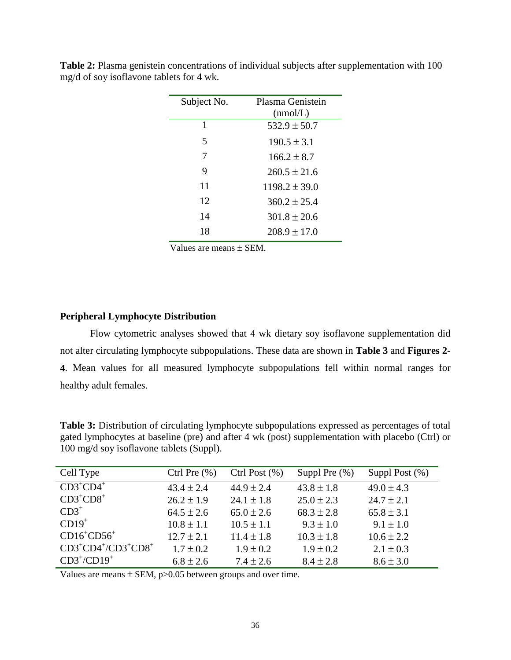| Subject No. | Plasma Genistein<br>(mmol/L) |  |  |
|-------------|------------------------------|--|--|
|             |                              |  |  |
| 1           | $532.9 \pm 50.7$             |  |  |
| 5           | $190.5 \pm 3.1$              |  |  |
| 7           | $166.2 + 8.7$                |  |  |
| 9           | $260.5 + 21.6$               |  |  |
| 11          | $1198.2 \pm 39.0$            |  |  |
| 12          | $360.2 + 25.4$               |  |  |
| 14          | $301.8 \pm 20.6$             |  |  |
| 18          | $208.9 \pm 17.0$             |  |  |
|             |                              |  |  |

**Table 2:** Plasma genistein concentrations of individual subjects after supplementation with 100 mg/d of soy isoflavone tablets for 4 wk.

Values are means ± SEM.

## **Peripheral Lymphocyte Distribution**

Flow cytometric analyses showed that 4 wk dietary soy isoflavone supplementation did not alter circulating lymphocyte subpopulations. These data are shown in **Table 3** and **Figures 2- 4**. Mean values for all measured lymphocyte subpopulations fell within normal ranges for healthy adult females.

**Table 3:** Distribution of circulating lymphocyte subpopulations expressed as percentages of total gated lymphocytes at baseline (pre) and after 4 wk (post) supplementation with placebo (Ctrl) or 100 mg/d soy isoflavone tablets (Suppl).

| Cell Type                      | Ctrl Pre $(\% )$ | Ctrl Post $(\% )$ | Suppl Pre $(\%)$ | Suppl Post $(\%)$ |
|--------------------------------|------------------|-------------------|------------------|-------------------|
| $CD3^+CD4^+$                   | $43.4 \pm 2.4$   | $44.9 \pm 2.4$    | $43.8 \pm 1.8$   | $49.0 \pm 4.3$    |
| $CD3^+CD8^+$                   | $26.2 \pm 1.9$   | $24.1 \pm 1.8$    | $25.0 \pm 2.3$   | $24.7 \pm 2.1$    |
| $CD3^+$                        | $64.5 \pm 2.6$   | $65.0 \pm 2.6$    | $68.3 \pm 2.8$   | $65.8 \pm 3.1$    |
| $CD19+$                        | $10.8 \pm 1.1$   | $10.5 \pm 1.1$    | $9.3 \pm 1.0$    | $9.1 \pm 1.0$     |
| $CD16^+CD56^+$                 | $12.7 \pm 2.1$   | $11.4 \pm 1.8$    | $10.3 \pm 1.8$   | $10.6 \pm 2.2$    |
| $CD3+CD4+/CD3+CD8+$            | $1.7 \pm 0.2$    | $1.9 \pm 0.2$     | $1.9 \pm 0.2$    | $2.1 \pm 0.3$     |
| $CD3^{\dagger}/CD19^{\dagger}$ | $6.8 \pm 2.6$    | $7.4 \pm 2.6$     | $8.4 \pm 2.8$    | $8.6 \pm 3.0$     |

Values are means  $\pm$  SEM, p $>0.05$  between groups and over time.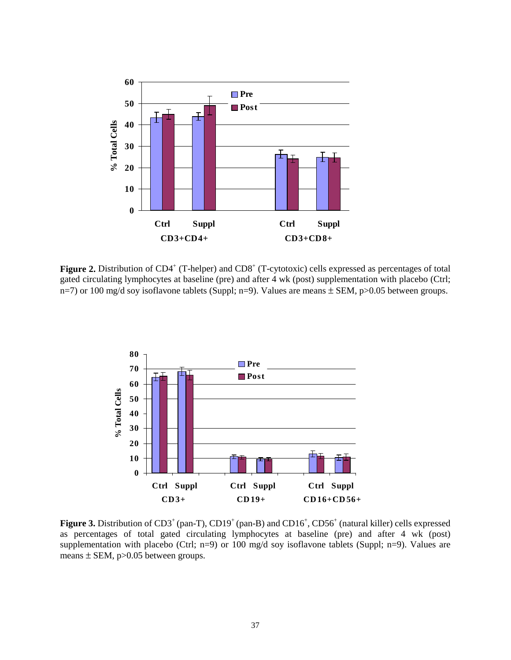

Figure 2. Distribution of CD4<sup>+</sup> (T-helper) and CD8<sup>+</sup> (T-cytotoxic) cells expressed as percentages of total gated circulating lymphocytes at baseline (pre) and after 4 wk (post) supplementation with placebo (Ctrl; n=7) or 100 mg/d soy isoflavone tablets (Suppl; n=9). Values are means  $\pm$  SEM, p>0.05 between groups.



Figure 3. Distribution of CD3<sup>+</sup> (pan-T), CD19<sup>+</sup> (pan-B) and CD16<sup>+</sup>, CD56<sup>+</sup> (natural killer) cells expressed as percentages of total gated circulating lymphocytes at baseline (pre) and after 4 wk (post) supplementation with placebo (Ctrl; n=9) or 100 mg/d soy isoflavone tablets (Suppl; n=9). Values are means  $\pm$  SEM, p $>0.05$  between groups.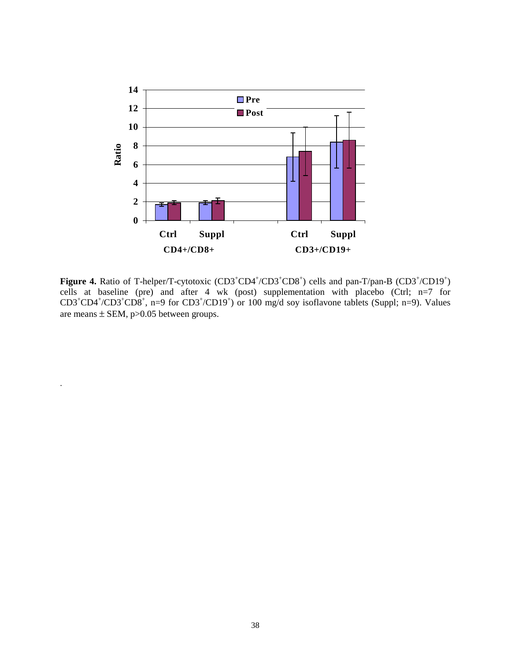

Figure 4. Ratio of T-helper/T-cytotoxic (CD3<sup>+</sup>CD4<sup>+</sup>/CD3<sup>+</sup>CD8<sup>+</sup>) cells and pan-T/pan-B (CD3<sup>+</sup>/CD19<sup>+</sup>) cells at baseline (pre) and after 4 wk (post) supplementation with placebo (Ctrl; n=7 for  $CD3^+CD4^+$ / $CD3^+CD8^+$ , n=9 for  $CD3^+$ / $CD19^+$ ) or 100 mg/d soy isoflavone tablets (Suppl; n=9). Values are means  $\pm$  SEM, p $>0.05$  between groups.

.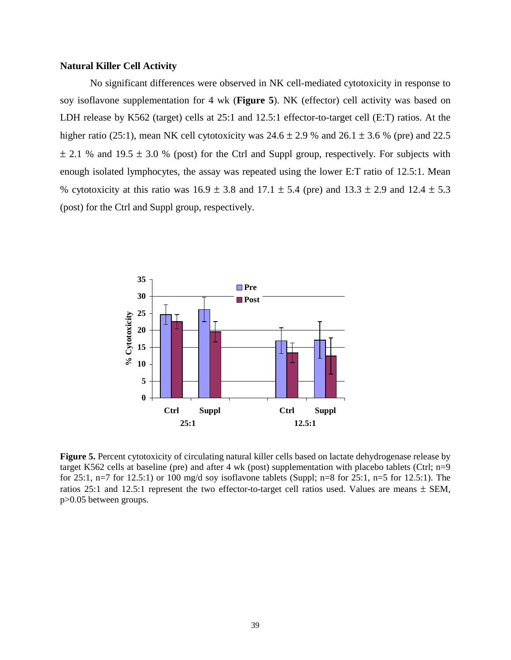## **Natural Killer Cell Activity**

 No significant differences were observed in NK cell-mediated cytotoxicity in response to soy isoflavone supplementation for 4 wk (**Figure 5**). NK (effector) cell activity was based on LDH release by K562 (target) cells at 25:1 and 12.5:1 effector-to-target cell (E:T) ratios. At the higher ratio (25:1), mean NK cell cytotoxicity was  $24.6 \pm 2.9$  % and  $26.1 \pm 3.6$  % (pre) and 22.5  $\pm$  2.1 % and 19.5  $\pm$  3.0 % (post) for the Ctrl and Suppl group, respectively. For subjects with enough isolated lymphocytes, the assay was repeated using the lower E:T ratio of 12.5:1. Mean % cytotoxicity at this ratio was  $16.9 \pm 3.8$  and  $17.1 \pm 5.4$  (pre) and  $13.3 \pm 2.9$  and  $12.4 \pm 5.3$ (post) for the Ctrl and Suppl group, respectively.



**Figure 5.** Percent cytotoxicity of circulating natural killer cells based on lactate dehydrogenase release by target K562 cells at baseline (pre) and after 4 wk (post) supplementation with placebo tablets (Ctrl; n=9 for 25:1, n=7 for 12.5:1) or 100 mg/d soy isoflavone tablets (Suppl; n=8 for 25:1, n=5 for 12.5:1). The ratios 25:1 and 12.5:1 represent the two effector-to-target cell ratios used. Values are means  $\pm$  SEM, p>0.05 between groups.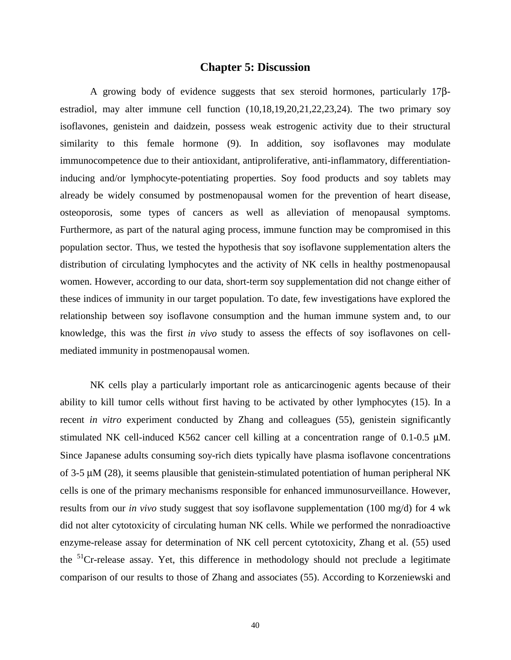## **Chapter 5: Discussion**

A growing body of evidence suggests that sex steroid hormones, particularly 17βestradiol, may alter immune cell function (10,18,19,20,21,22,23,24). The two primary soy isoflavones, genistein and daidzein, possess weak estrogenic activity due to their structural similarity to this female hormone (9). In addition, soy isoflavones may modulate immunocompetence due to their antioxidant, antiproliferative, anti-inflammatory, differentiationinducing and/or lymphocyte-potentiating properties. Soy food products and soy tablets may already be widely consumed by postmenopausal women for the prevention of heart disease, osteoporosis, some types of cancers as well as alleviation of menopausal symptoms. Furthermore, as part of the natural aging process, immune function may be compromised in this population sector. Thus, we tested the hypothesis that soy isoflavone supplementation alters the distribution of circulating lymphocytes and the activity of NK cells in healthy postmenopausal women. However, according to our data, short-term soy supplementation did not change either of these indices of immunity in our target population. To date, few investigations have explored the relationship between soy isoflavone consumption and the human immune system and, to our knowledge, this was the first *in vivo* study to assess the effects of soy isoflavones on cellmediated immunity in postmenopausal women.

 NK cells play a particularly important role as anticarcinogenic agents because of their ability to kill tumor cells without first having to be activated by other lymphocytes (15). In a recent *in vitro* experiment conducted by Zhang and colleagues (55), genistein significantly stimulated NK cell-induced K562 cancer cell killing at a concentration range of 0.1-0.5 µM. Since Japanese adults consuming soy-rich diets typically have plasma isoflavone concentrations of 3-5 µM (28), it seems plausible that genistein-stimulated potentiation of human peripheral NK cells is one of the primary mechanisms responsible for enhanced immunosurveillance. However, results from our *in vivo* study suggest that soy isoflavone supplementation (100 mg/d) for 4 wk did not alter cytotoxicity of circulating human NK cells. While we performed the nonradioactive enzyme-release assay for determination of NK cell percent cytotoxicity, Zhang et al. (55) used the  $51$ Cr-release assay. Yet, this difference in methodology should not preclude a legitimate comparison of our results to those of Zhang and associates (55). According to Korzeniewski and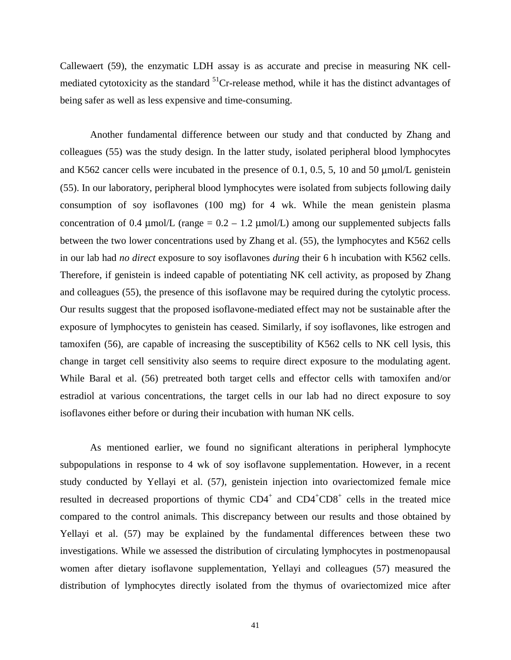Callewaert (59), the enzymatic LDH assay is as accurate and precise in measuring NK cellmediated cytotoxicity as the standard <sup>51</sup>Cr-release method, while it has the distinct advantages of being safer as well as less expensive and time-consuming.

Another fundamental difference between our study and that conducted by Zhang and colleagues (55) was the study design. In the latter study, isolated peripheral blood lymphocytes and K562 cancer cells were incubated in the presence of 0.1, 0.5, 5, 10 and 50 µmol/L genistein (55). In our laboratory, peripheral blood lymphocytes were isolated from subjects following daily consumption of soy isoflavones (100 mg) for 4 wk. While the mean genistein plasma concentration of 0.4  $\mu$ mol/L (range = 0.2 – 1.2  $\mu$ mol/L) among our supplemented subjects falls between the two lower concentrations used by Zhang et al. (55), the lymphocytes and K562 cells in our lab had *no direct* exposure to soy isoflavones *during* their 6 h incubation with K562 cells. Therefore, if genistein is indeed capable of potentiating NK cell activity, as proposed by Zhang and colleagues (55), the presence of this isoflavone may be required during the cytolytic process. Our results suggest that the proposed isoflavone-mediated effect may not be sustainable after the exposure of lymphocytes to genistein has ceased. Similarly, if soy isoflavones, like estrogen and tamoxifen (56), are capable of increasing the susceptibility of K562 cells to NK cell lysis, this change in target cell sensitivity also seems to require direct exposure to the modulating agent. While Baral et al. (56) pretreated both target cells and effector cells with tamoxifen and/or estradiol at various concentrations, the target cells in our lab had no direct exposure to soy isoflavones either before or during their incubation with human NK cells.

As mentioned earlier, we found no significant alterations in peripheral lymphocyte subpopulations in response to 4 wk of soy isoflavone supplementation. However, in a recent study conducted by Yellayi et al. (57), genistein injection into ovariectomized female mice resulted in decreased proportions of thymic CD4<sup>+</sup> and CD4<sup>+</sup>CD8<sup>+</sup> cells in the treated mice compared to the control animals. This discrepancy between our results and those obtained by Yellayi et al. (57) may be explained by the fundamental differences between these two investigations. While we assessed the distribution of circulating lymphocytes in postmenopausal women after dietary isoflavone supplementation, Yellayi and colleagues (57) measured the distribution of lymphocytes directly isolated from the thymus of ovariectomized mice after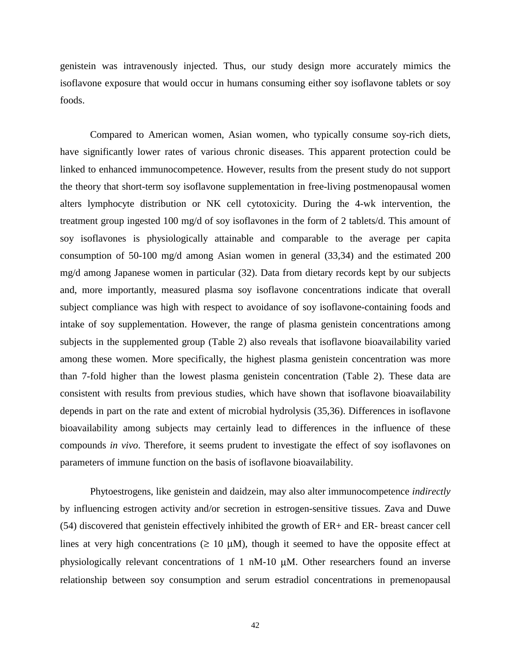genistein was intravenously injected. Thus, our study design more accurately mimics the isoflavone exposure that would occur in humans consuming either soy isoflavone tablets or soy foods.

 Compared to American women, Asian women, who typically consume soy-rich diets, have significantly lower rates of various chronic diseases. This apparent protection could be linked to enhanced immunocompetence. However, results from the present study do not support the theory that short-term soy isoflavone supplementation in free-living postmenopausal women alters lymphocyte distribution or NK cell cytotoxicity. During the 4-wk intervention, the treatment group ingested 100 mg/d of soy isoflavones in the form of 2 tablets/d. This amount of soy isoflavones is physiologically attainable and comparable to the average per capita consumption of 50-100 mg/d among Asian women in general (33,34) and the estimated 200 mg/d among Japanese women in particular (32). Data from dietary records kept by our subjects and, more importantly, measured plasma soy isoflavone concentrations indicate that overall subject compliance was high with respect to avoidance of soy isoflavone-containing foods and intake of soy supplementation. However, the range of plasma genistein concentrations among subjects in the supplemented group (Table 2) also reveals that isoflavone bioavailability varied among these women. More specifically, the highest plasma genistein concentration was more than 7-fold higher than the lowest plasma genistein concentration (Table 2). These data are consistent with results from previous studies, which have shown that isoflavone bioavailability depends in part on the rate and extent of microbial hydrolysis (35,36). Differences in isoflavone bioavailability among subjects may certainly lead to differences in the influence of these compounds *in vivo*. Therefore, it seems prudent to investigate the effect of soy isoflavones on parameters of immune function on the basis of isoflavone bioavailability.

Phytoestrogens, like genistein and daidzein, may also alter immunocompetence *indirectly* by influencing estrogen activity and/or secretion in estrogen-sensitive tissues. Zava and Duwe (54) discovered that genistein effectively inhibited the growth of ER+ and ER- breast cancer cell lines at very high concentrations ( $\geq 10 \mu M$ ), though it seemed to have the opposite effect at physiologically relevant concentrations of 1 nM-10 µM. Other researchers found an inverse relationship between soy consumption and serum estradiol concentrations in premenopausal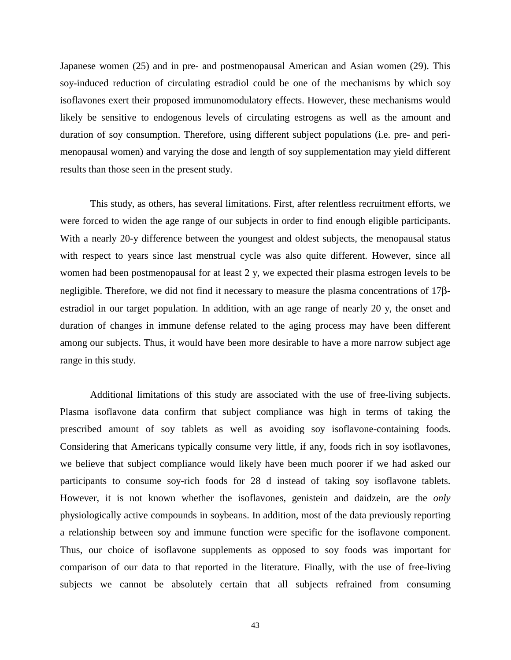Japanese women (25) and in pre- and postmenopausal American and Asian women (29). This soy-induced reduction of circulating estradiol could be one of the mechanisms by which soy isoflavones exert their proposed immunomodulatory effects. However, these mechanisms would likely be sensitive to endogenous levels of circulating estrogens as well as the amount and duration of soy consumption. Therefore, using different subject populations (i.e. pre- and perimenopausal women) and varying the dose and length of soy supplementation may yield different results than those seen in the present study.

This study, as others, has several limitations. First, after relentless recruitment efforts, we were forced to widen the age range of our subjects in order to find enough eligible participants. With a nearly 20-y difference between the youngest and oldest subjects, the menopausal status with respect to years since last menstrual cycle was also quite different. However, since all women had been postmenopausal for at least 2 y, we expected their plasma estrogen levels to be negligible. Therefore, we did not find it necessary to measure the plasma concentrations of 17βestradiol in our target population. In addition, with an age range of nearly 20 y, the onset and duration of changes in immune defense related to the aging process may have been different among our subjects. Thus, it would have been more desirable to have a more narrow subject age range in this study.

Additional limitations of this study are associated with the use of free-living subjects. Plasma isoflavone data confirm that subject compliance was high in terms of taking the prescribed amount of soy tablets as well as avoiding soy isoflavone-containing foods. Considering that Americans typically consume very little, if any, foods rich in soy isoflavones, we believe that subject compliance would likely have been much poorer if we had asked our participants to consume soy-rich foods for 28 d instead of taking soy isoflavone tablets. However, it is not known whether the isoflavones, genistein and daidzein, are the *only* physiologically active compounds in soybeans. In addition, most of the data previously reporting a relationship between soy and immune function were specific for the isoflavone component. Thus, our choice of isoflavone supplements as opposed to soy foods was important for comparison of our data to that reported in the literature. Finally, with the use of free-living subjects we cannot be absolutely certain that all subjects refrained from consuming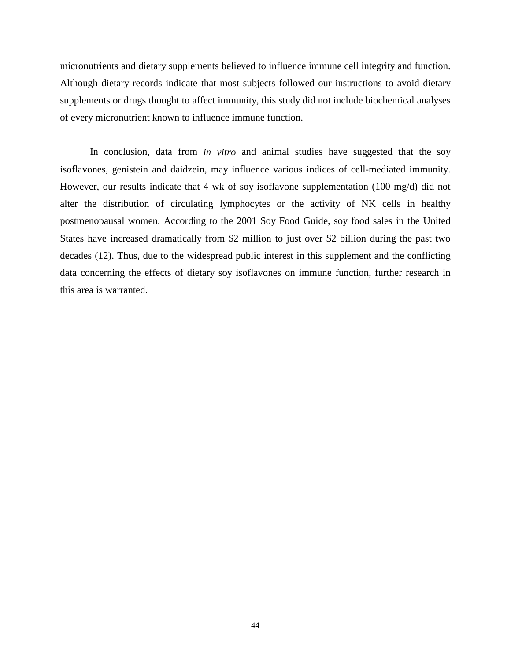micronutrients and dietary supplements believed to influence immune cell integrity and function. Although dietary records indicate that most subjects followed our instructions to avoid dietary supplements or drugs thought to affect immunity, this study did not include biochemical analyses of every micronutrient known to influence immune function.

In conclusion, data from *in vitro* and animal studies have suggested that the soy isoflavones, genistein and daidzein, may influence various indices of cell-mediated immunity. However, our results indicate that 4 wk of soy isoflavone supplementation (100 mg/d) did not alter the distribution of circulating lymphocytes or the activity of NK cells in healthy postmenopausal women. According to the 2001 Soy Food Guide, soy food sales in the United States have increased dramatically from \$2 million to just over \$2 billion during the past two decades (12). Thus, due to the widespread public interest in this supplement and the conflicting data concerning the effects of dietary soy isoflavones on immune function, further research in this area is warranted.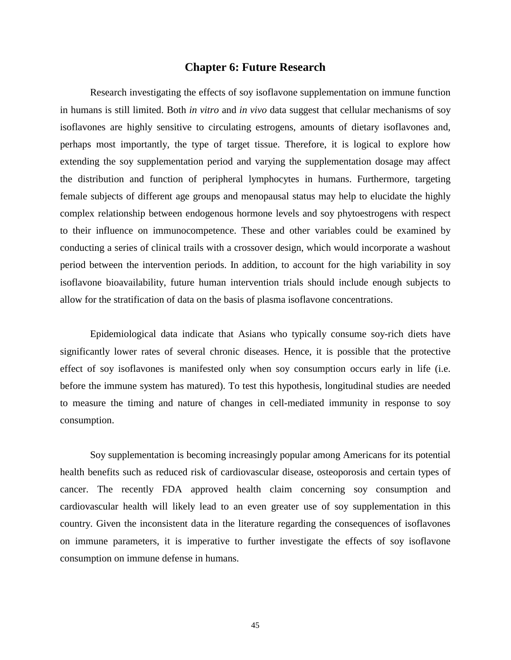## **Chapter 6: Future Research**

Research investigating the effects of soy isoflavone supplementation on immune function in humans is still limited. Both *in vitro* and *in vivo* data suggest that cellular mechanisms of soy isoflavones are highly sensitive to circulating estrogens, amounts of dietary isoflavones and, perhaps most importantly, the type of target tissue. Therefore, it is logical to explore how extending the soy supplementation period and varying the supplementation dosage may affect the distribution and function of peripheral lymphocytes in humans. Furthermore, targeting female subjects of different age groups and menopausal status may help to elucidate the highly complex relationship between endogenous hormone levels and soy phytoestrogens with respect to their influence on immunocompetence. These and other variables could be examined by conducting a series of clinical trails with a crossover design, which would incorporate a washout period between the intervention periods. In addition, to account for the high variability in soy isoflavone bioavailability, future human intervention trials should include enough subjects to allow for the stratification of data on the basis of plasma isoflavone concentrations.

Epidemiological data indicate that Asians who typically consume soy-rich diets have significantly lower rates of several chronic diseases. Hence, it is possible that the protective effect of soy isoflavones is manifested only when soy consumption occurs early in life (i.e. before the immune system has matured). To test this hypothesis, longitudinal studies are needed to measure the timing and nature of changes in cell-mediated immunity in response to soy consumption.

Soy supplementation is becoming increasingly popular among Americans for its potential health benefits such as reduced risk of cardiovascular disease, osteoporosis and certain types of cancer. The recently FDA approved health claim concerning soy consumption and cardiovascular health will likely lead to an even greater use of soy supplementation in this country. Given the inconsistent data in the literature regarding the consequences of isoflavones on immune parameters, it is imperative to further investigate the effects of soy isoflavone consumption on immune defense in humans.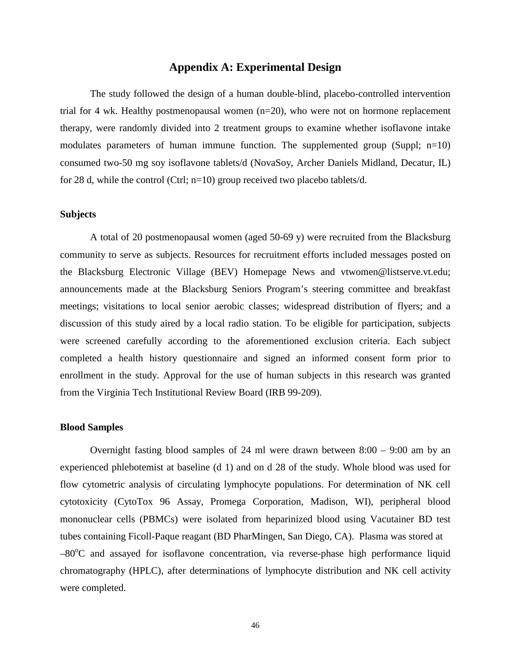## **Appendix A: Experimental Design**

 The study followed the design of a human double-blind, placebo-controlled intervention trial for 4 wk. Healthy postmenopausal women (n=20), who were not on hormone replacement therapy, were randomly divided into 2 treatment groups to examine whether isoflavone intake modulates parameters of human immune function. The supplemented group (Suppl; n=10) consumed two-50 mg soy isoflavone tablets/d (NovaSoy, Archer Daniels Midland, Decatur, IL) for 28 d, while the control (Ctrl; n=10) group received two placebo tablets/d.

## **Subjects**

 A total of 20 postmenopausal women (aged 50-69 y) were recruited from the Blacksburg community to serve as subjects. Resources for recruitment efforts included messages posted on the Blacksburg Electronic Village (BEV) Homepage News and vtwomen@listserve.vt.edu; announcements made at the Blacksburg Seniors Program's steering committee and breakfast meetings; visitations to local senior aerobic classes; widespread distribution of flyers; and a discussion of this study aired by a local radio station. To be eligible for participation, subjects were screened carefully according to the aforementioned exclusion criteria. Each subject completed a health history questionnaire and signed an informed consent form prior to enrollment in the study. Approval for the use of human subjects in this research was granted from the Virginia Tech Institutional Review Board (IRB 99-209).

#### **Blood Samples**

 Overnight fasting blood samples of 24 ml were drawn between 8:00 – 9:00 am by an experienced phlebotemist at baseline (d 1) and on d 28 of the study. Whole blood was used for flow cytometric analysis of circulating lymphocyte populations. For determination of NK cell cytotoxicity (CytoTox 96 Assay, Promega Corporation, Madison, WI), peripheral blood mononuclear cells (PBMCs) were isolated from heparinized blood using Vacutainer BD test tubes containing Ficoll-Paque reagant (BD PharMingen, San Diego, CA). Plasma was stored at -80°C and assayed for isoflavone concentration, via reverse-phase high performance liquid chromatography (HPLC), after determinations of lymphocyte distribution and NK cell activity were completed.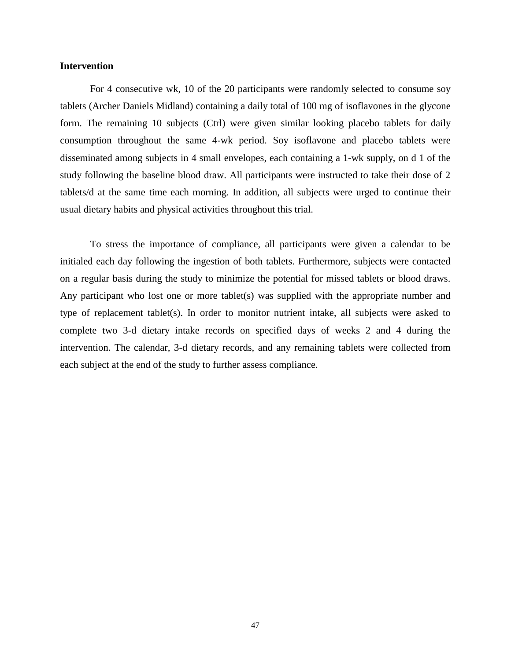## **Intervention**

 For 4 consecutive wk, 10 of the 20 participants were randomly selected to consume soy tablets (Archer Daniels Midland) containing a daily total of 100 mg of isoflavones in the glycone form. The remaining 10 subjects (Ctrl) were given similar looking placebo tablets for daily consumption throughout the same 4-wk period. Soy isoflavone and placebo tablets were disseminated among subjects in 4 small envelopes, each containing a 1-wk supply, on d 1 of the study following the baseline blood draw. All participants were instructed to take their dose of 2 tablets/d at the same time each morning. In addition, all subjects were urged to continue their usual dietary habits and physical activities throughout this trial.

 To stress the importance of compliance, all participants were given a calendar to be initialed each day following the ingestion of both tablets. Furthermore, subjects were contacted on a regular basis during the study to minimize the potential for missed tablets or blood draws. Any participant who lost one or more tablet(s) was supplied with the appropriate number and type of replacement tablet(s). In order to monitor nutrient intake, all subjects were asked to complete two 3-d dietary intake records on specified days of weeks 2 and 4 during the intervention. The calendar, 3-d dietary records, and any remaining tablets were collected from each subject at the end of the study to further assess compliance.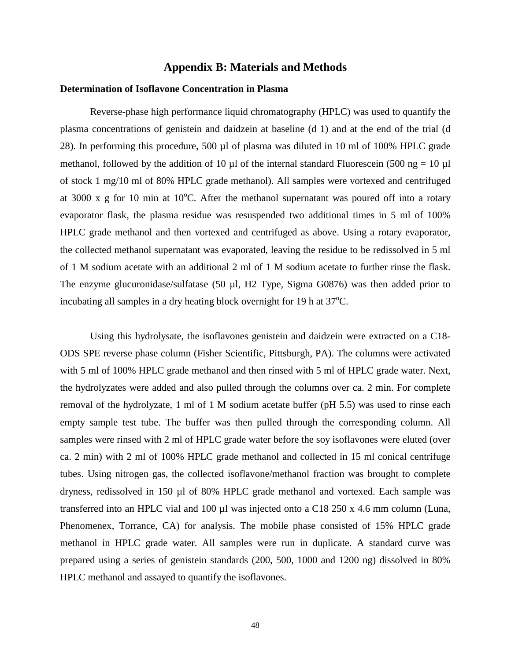## **Appendix B: Materials and Methods**

#### **Determination of Isoflavone Concentration in Plasma**

 Reverse-phase high performance liquid chromatography (HPLC) was used to quantify the plasma concentrations of genistein and daidzein at baseline (d 1) and at the end of the trial (d 28). In performing this procedure, 500 µl of plasma was diluted in 10 ml of 100% HPLC grade methanol, followed by the addition of 10  $\mu$ l of the internal standard Fluorescein (500 ng = 10  $\mu$ l of stock 1 mg/10 ml of 80% HPLC grade methanol). All samples were vortexed and centrifuged at 3000 x g for 10 min at  $10^{\circ}$ C. After the methanol supernatant was poured off into a rotary evaporator flask, the plasma residue was resuspended two additional times in 5 ml of 100% HPLC grade methanol and then vortexed and centrifuged as above. Using a rotary evaporator, the collected methanol supernatant was evaporated, leaving the residue to be redissolved in 5 ml of 1 M sodium acetate with an additional 2 ml of 1 M sodium acetate to further rinse the flask. The enzyme glucuronidase/sulfatase (50 µl, H2 Type, Sigma G0876) was then added prior to incubating all samples in a dry heating block overnight for 19 h at 37°C.

 Using this hydrolysate, the isoflavones genistein and daidzein were extracted on a C18- ODS SPE reverse phase column (Fisher Scientific, Pittsburgh, PA). The columns were activated with 5 ml of 100% HPLC grade methanol and then rinsed with 5 ml of HPLC grade water. Next, the hydrolyzates were added and also pulled through the columns over ca. 2 min. For complete removal of the hydrolyzate, 1 ml of 1 M sodium acetate buffer (pH 5.5) was used to rinse each empty sample test tube. The buffer was then pulled through the corresponding column. All samples were rinsed with 2 ml of HPLC grade water before the soy isoflavones were eluted (over ca. 2 min) with 2 ml of 100% HPLC grade methanol and collected in 15 ml conical centrifuge tubes. Using nitrogen gas, the collected isoflavone/methanol fraction was brought to complete dryness, redissolved in 150 µl of 80% HPLC grade methanol and vortexed. Each sample was transferred into an HPLC vial and 100 µl was injected onto a C18 250 x 4.6 mm column (Luna, Phenomenex, Torrance, CA) for analysis. The mobile phase consisted of 15% HPLC grade methanol in HPLC grade water. All samples were run in duplicate. A standard curve was prepared using a series of genistein standards (200, 500, 1000 and 1200 ng) dissolved in 80% HPLC methanol and assayed to quantify the isoflavones.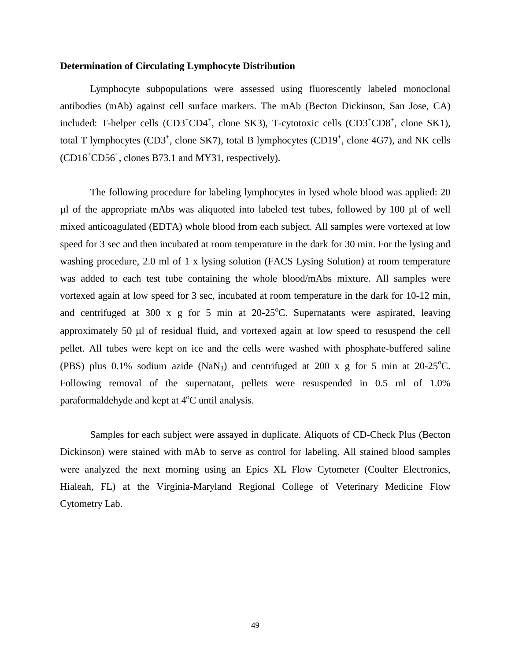### **Determination of Circulating Lymphocyte Distribution**

 Lymphocyte subpopulations were assessed using fluorescently labeled monoclonal antibodies (mAb) against cell surface markers. The mAb (Becton Dickinson, San Jose, CA) included: T-helper cells (CD3<sup>+</sup>CD4<sup>+</sup>, clone SK3), T-cytotoxic cells (CD3<sup>+</sup>CD8<sup>+</sup>, clone SK1), total T lymphocytes (CD3<sup>+</sup>, clone SK7), total B lymphocytes (CD19<sup>+</sup>, clone 4G7), and NK cells (CD16<sup>+</sup> CD56<sup>+</sup> , clones B73.1 and MY31, respectively).

 The following procedure for labeling lymphocytes in lysed whole blood was applied: 20  $\mu$ l of the appropriate mAbs was aliquoted into labeled test tubes, followed by 100  $\mu$ l of well mixed anticoagulated (EDTA) whole blood from each subject. All samples were vortexed at low speed for 3 sec and then incubated at room temperature in the dark for 30 min. For the lysing and washing procedure, 2.0 ml of 1 x lysing solution (FACS Lysing Solution) at room temperature was added to each test tube containing the whole blood/mAbs mixture. All samples were vortexed again at low speed for 3 sec, incubated at room temperature in the dark for 10-12 min, and centrifuged at 300 x g for 5 min at  $20-25^{\circ}$ C. Supernatants were aspirated, leaving approximately 50 µl of residual fluid, and vortexed again at low speed to resuspend the cell pellet. All tubes were kept on ice and the cells were washed with phosphate-buffered saline (PBS) plus 0.1% sodium azide  $(NaN_3)$  and centrifuged at 200 x g for 5 min at 20-25°C. Following removal of the supernatant, pellets were resuspended in 0.5 ml of 1.0% paraformaldehyde and kept at  $4^{\circ}$ C until analysis.

 Samples for each subject were assayed in duplicate. Aliquots of CD-Check Plus (Becton Dickinson) were stained with mAb to serve as control for labeling. All stained blood samples were analyzed the next morning using an Epics XL Flow Cytometer (Coulter Electronics, Hialeah, FL) at the Virginia-Maryland Regional College of Veterinary Medicine Flow Cytometry Lab.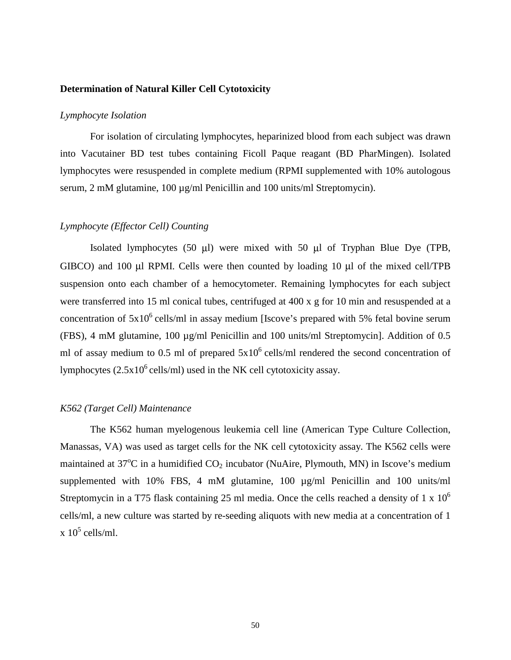## **Determination of Natural Killer Cell Cytotoxicity**

## *Lymphocyte Isolation*

 For isolation of circulating lymphocytes, heparinized blood from each subject was drawn into Vacutainer BD test tubes containing Ficoll Paque reagant (BD PharMingen). Isolated lymphocytes were resuspended in complete medium (RPMI supplemented with 10% autologous serum, 2 mM glutamine, 100 µg/ml Penicillin and 100 units/ml Streptomycin).

## *Lymphocyte (Effector Cell) Counting*

Isolated lymphocytes (50 µl) were mixed with 50 µl of Tryphan Blue Dye (TPB, GIBCO) and 100 µl RPMI. Cells were then counted by loading 10 µl of the mixed cell/TPB suspension onto each chamber of a hemocytometer. Remaining lymphocytes for each subject were transferred into 15 ml conical tubes, centrifuged at 400 x g for 10 min and resuspended at a concentration of  $5x10^6$  cells/ml in assay medium [Iscove's prepared with 5% fetal bovine serum (FBS), 4 mM glutamine, 100 µg/ml Penicillin and 100 units/ml Streptomycin]. Addition of 0.5 ml of assay medium to 0.5 ml of prepared  $5x10^6$  cells/ml rendered the second concentration of lymphocytes  $(2.5x10^6 \text{ cells/ml})$  used in the NK cell cytotoxicity assay.

## *K562 (Target Cell) Maintenance*

The K562 human myelogenous leukemia cell line (American Type Culture Collection, Manassas, VA) was used as target cells for the NK cell cytotoxicity assay. The K562 cells were maintained at  $37^{\circ}$ C in a humidified  $CO_2$  incubator (NuAire, Plymouth, MN) in Iscove's medium supplemented with 10% FBS, 4 mM glutamine, 100  $\mu$ g/ml Penicillin and 100 units/ml Streptomycin in a T75 flask containing 25 ml media. Once the cells reached a density of 1 x  $10<sup>6</sup>$ cells/ml, a new culture was started by re-seeding aliquots with new media at a concentration of 1  $\ge 10^5$  cells/ml.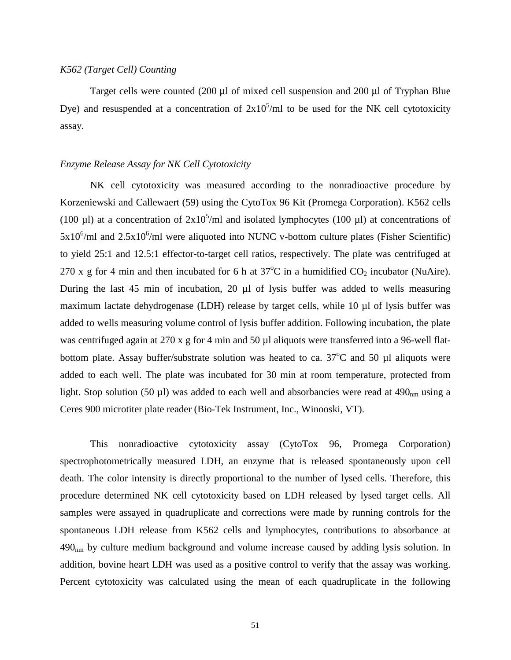## *K562 (Target Cell) Counting*

Target cells were counted (200 µl of mixed cell suspension and 200 µl of Tryphan Blue Dye) and resuspended at a concentration of  $2x10^5$ /ml to be used for the NK cell cytotoxicity assay.

## *Enzyme Release Assay for NK Cell Cytotoxicity*

 NK cell cytotoxicity was measured according to the nonradioactive procedure by Korzeniewski and Callewaert (59) using the CytoTox 96 Kit (Promega Corporation). K562 cells (100  $\mu$ l) at a concentration of 2x10<sup>5</sup>/ml and isolated lymphocytes (100  $\mu$ l) at concentrations of  $5x10^6$ /ml and  $2.5x10^6$ /ml were aliquoted into NUNC v-bottom culture plates (Fisher Scientific) to yield 25:1 and 12.5:1 effector-to-target cell ratios, respectively. The plate was centrifuged at 270 x g for 4 min and then incubated for 6 h at  $37^{\circ}$ C in a humidified CO<sub>2</sub> incubator (NuAire). During the last 45 min of incubation, 20 µl of lysis buffer was added to wells measuring maximum lactate dehydrogenase (LDH) release by target cells, while 10 µl of lysis buffer was added to wells measuring volume control of lysis buffer addition. Following incubation, the plate was centrifuged again at 270 x g for 4 min and 50 µl aliquots were transferred into a 96-well flatbottom plate. Assay buffer/substrate solution was heated to ca.  $37^{\circ}$ C and 50 µl aliquots were added to each well. The plate was incubated for 30 min at room temperature, protected from light. Stop solution (50 µl) was added to each well and absorbancies were read at  $490<sub>nm</sub>$  using a Ceres 900 microtiter plate reader (Bio-Tek Instrument, Inc., Winooski, VT).

 This nonradioactive cytotoxicity assay (CytoTox 96, Promega Corporation) spectrophotometrically measured LDH, an enzyme that is released spontaneously upon cell death. The color intensity is directly proportional to the number of lysed cells. Therefore, this procedure determined NK cell cytotoxicity based on LDH released by lysed target cells. All samples were assayed in quadruplicate and corrections were made by running controls for the spontaneous LDH release from K562 cells and lymphocytes, contributions to absorbance at  $490<sub>nm</sub>$  by culture medium background and volume increase caused by adding lysis solution. In addition, bovine heart LDH was used as a positive control to verify that the assay was working. Percent cytotoxicity was calculated using the mean of each quadruplicate in the following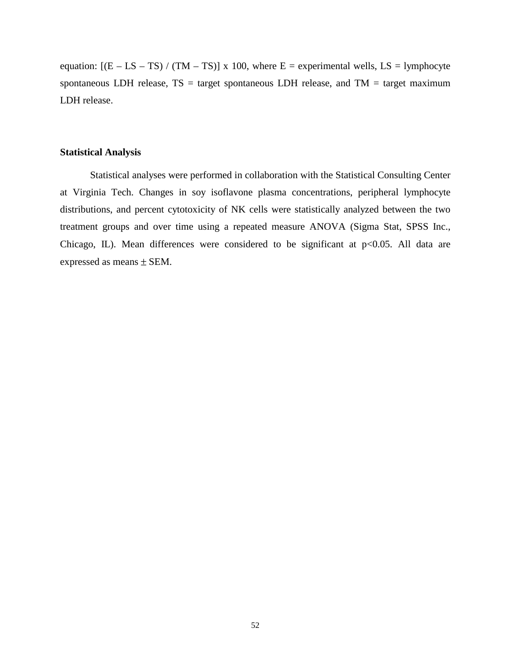equation:  $[(E - LS - TS) / (TM - TS)] \times 100$ , where  $E =$  experimental wells,  $LS =$  lymphocyte spontaneous LDH release,  $TS = target$  spontaneous LDH release, and  $TM = target$  maximum LDH release.

## **Statistical Analysis**

Statistical analyses were performed in collaboration with the Statistical Consulting Center at Virginia Tech. Changes in soy isoflavone plasma concentrations, peripheral lymphocyte distributions, and percent cytotoxicity of NK cells were statistically analyzed between the two treatment groups and over time using a repeated measure ANOVA (Sigma Stat, SPSS Inc., Chicago, IL). Mean differences were considered to be significant at  $p<0.05$ . All data are expressed as means ± SEM.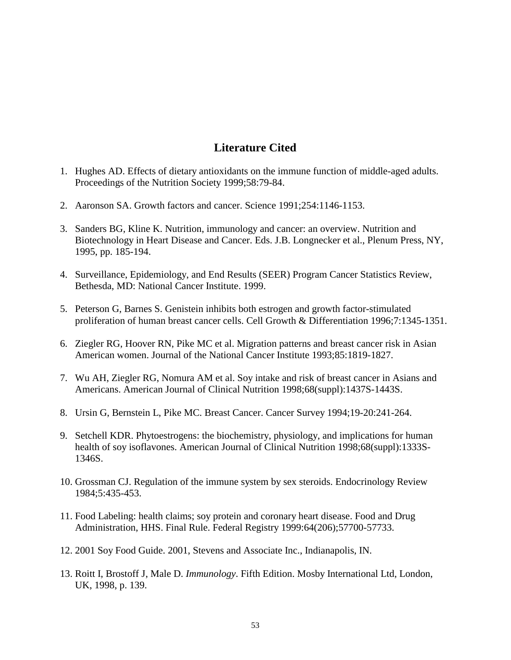# **Literature Cited**

- 1. Hughes AD. Effects of dietary antioxidants on the immune function of middle-aged adults. Proceedings of the Nutrition Society 1999;58:79-84.
- 2. Aaronson SA. Growth factors and cancer. Science 1991;254:1146-1153.
- 3. Sanders BG, Kline K. Nutrition, immunology and cancer: an overview. Nutrition and Biotechnology in Heart Disease and Cancer. Eds. J.B. Longnecker et al., Plenum Press, NY, 1995, pp. 185-194.
- 4. Surveillance, Epidemiology, and End Results (SEER) Program Cancer Statistics Review, Bethesda, MD: National Cancer Institute. 1999.
- 5. Peterson G, Barnes S. Genistein inhibits both estrogen and growth factor-stimulated proliferation of human breast cancer cells. Cell Growth & Differentiation 1996;7:1345-1351.
- 6. Ziegler RG, Hoover RN, Pike MC et al. Migration patterns and breast cancer risk in Asian American women. Journal of the National Cancer Institute 1993;85:1819-1827.
- 7. Wu AH, Ziegler RG, Nomura AM et al. Soy intake and risk of breast cancer in Asians and Americans. American Journal of Clinical Nutrition 1998;68(suppl):1437S-1443S.
- 8. Ursin G, Bernstein L, Pike MC. Breast Cancer. Cancer Survey 1994;19-20:241-264.
- 9. Setchell KDR. Phytoestrogens: the biochemistry, physiology, and implications for human health of soy isoflavones. American Journal of Clinical Nutrition 1998;68(suppl):1333S- 1346S.
- 10. Grossman CJ. Regulation of the immune system by sex steroids. Endocrinology Review 1984;5:435-453.
- 11. Food Labeling: health claims; soy protein and coronary heart disease. Food and Drug Administration, HHS. Final Rule. Federal Registry 1999:64(206);57700-57733.
- 12. 2001 Soy Food Guide. 2001, Stevens and Associate Inc., Indianapolis, IN.
- 13. Roitt I, Brostoff J, Male D. *Immunology*. Fifth Edition. Mosby International Ltd, London, UK, 1998, p. 139.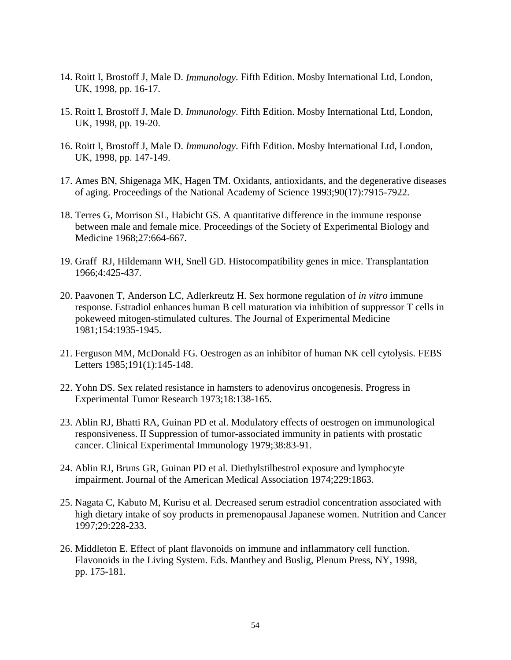- 14. Roitt I, Brostoff J, Male D. *Immunology*. Fifth Edition. Mosby International Ltd, London, UK, 1998, pp. 16-17.
- 15. Roitt I, Brostoff J, Male D. *Immunology*. Fifth Edition. Mosby International Ltd, London, UK, 1998, pp. 19-20.
- 16. Roitt I, Brostoff J, Male D. *Immunology*. Fifth Edition. Mosby International Ltd, London, UK, 1998, pp. 147-149.
- 17. Ames BN, Shigenaga MK, Hagen TM. Oxidants, antioxidants, and the degenerative diseases of aging. Proceedings of the National Academy of Science 1993;90(17):7915-7922.
- 18. Terres G, Morrison SL, Habicht GS. A quantitative difference in the immune response between male and female mice. Proceedings of the Society of Experimental Biology and Medicine 1968;27:664-667.
- 19. Graff RJ, Hildemann WH, Snell GD. Histocompatibility genes in mice. Transplantation 1966;4:425-437.
- 20. Paavonen T, Anderson LC, Adlerkreutz H. Sex hormone regulation of *in vitro* immune response. Estradiol enhances human B cell maturation via inhibition of suppressor T cells in pokeweed mitogen-stimulated cultures. The Journal of Experimental Medicine 1981;154:1935-1945.
- 21. Ferguson MM, McDonald FG. Oestrogen as an inhibitor of human NK cell cytolysis. FEBS Letters 1985;191(1):145-148.
- 22. Yohn DS. Sex related resistance in hamsters to adenovirus oncogenesis. Progress in Experimental Tumor Research 1973;18:138-165.
- 23. Ablin RJ, Bhatti RA, Guinan PD et al. Modulatory effects of oestrogen on immunological responsiveness. II Suppression of tumor-associated immunity in patients with prostatic cancer. Clinical Experimental Immunology 1979;38:83-91.
- 24. Ablin RJ, Bruns GR, Guinan PD et al. Diethylstilbestrol exposure and lymphocyte impairment. Journal of the American Medical Association 1974;229:1863.
- 25. Nagata C, Kabuto M, Kurisu et al. Decreased serum estradiol concentration associated with high dietary intake of soy products in premenopausal Japanese women. Nutrition and Cancer 1997;29:228-233.
- 26. Middleton E. Effect of plant flavonoids on immune and inflammatory cell function. Flavonoids in the Living System. Eds. Manthey and Buslig, Plenum Press, NY, 1998, pp. 175-181.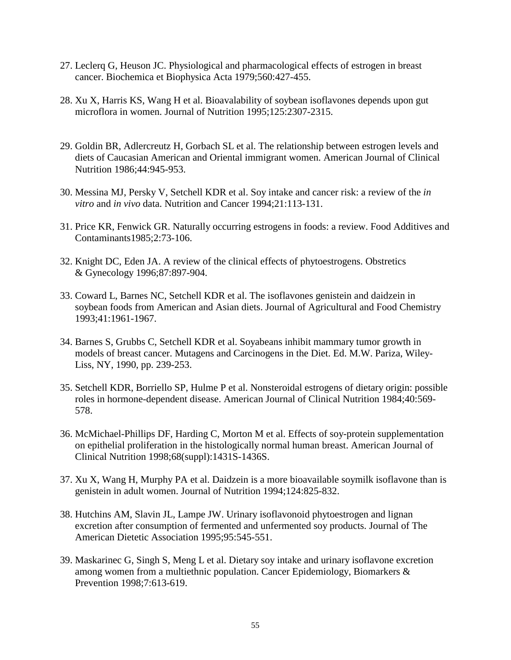- 27. Leclerq G, Heuson JC. Physiological and pharmacological effects of estrogen in breast cancer. Biochemica et Biophysica Acta 1979;560:427-455.
- 28. Xu X, Harris KS, Wang H et al. Bioavalability of soybean isoflavones depends upon gut microflora in women. Journal of Nutrition 1995;125:2307-2315.
- 29. Goldin BR, Adlercreutz H, Gorbach SL et al. The relationship between estrogen levels and diets of Caucasian American and Oriental immigrant women. American Journal of Clinical Nutrition 1986;44:945-953.
- 30. Messina MJ, Persky V, Setchell KDR et al. Soy intake and cancer risk: a review of the *in vitro* and *in vivo* data. Nutrition and Cancer 1994;21:113-131.
- 31. Price KR, Fenwick GR. Naturally occurring estrogens in foods: a review. Food Additives and Contaminants1985;2:73-106.
- 32. Knight DC, Eden JA. A review of the clinical effects of phytoestrogens. Obstretics & Gynecology 1996;87:897-904.
- 33. Coward L, Barnes NC, Setchell KDR et al. The isoflavones genistein and daidzein in soybean foods from American and Asian diets. Journal of Agricultural and Food Chemistry 1993;41:1961-1967.
- 34. Barnes S, Grubbs C, Setchell KDR et al. Soyabeans inhibit mammary tumor growth in models of breast cancer. Mutagens and Carcinogens in the Diet. Ed. M.W. Pariza, Wiley- Liss, NY, 1990, pp. 239-253.
- 35. Setchell KDR, Borriello SP, Hulme P et al. Nonsteroidal estrogens of dietary origin: possible roles in hormone-dependent disease. American Journal of Clinical Nutrition 1984;40:569- 578.
- 36. McMichael-Phillips DF, Harding C, Morton M et al. Effects of soy-protein supplementation on epithelial proliferation in the histologically normal human breast. American Journal of Clinical Nutrition 1998;68(suppl):1431S-1436S.
- 37. Xu X, Wang H, Murphy PA et al. Daidzein is a more bioavailable soymilk isoflavone than is genistein in adult women. Journal of Nutrition 1994;124:825-832.
- 38. Hutchins AM, Slavin JL, Lampe JW. Urinary isoflavonoid phytoestrogen and lignan excretion after consumption of fermented and unfermented soy products. Journal of The American Dietetic Association 1995;95:545-551.
- 39. Maskarinec G, Singh S, Meng L et al. Dietary soy intake and urinary isoflavone excretion among women from a multiethnic population. Cancer Epidemiology, Biomarkers & Prevention 1998;7:613-619.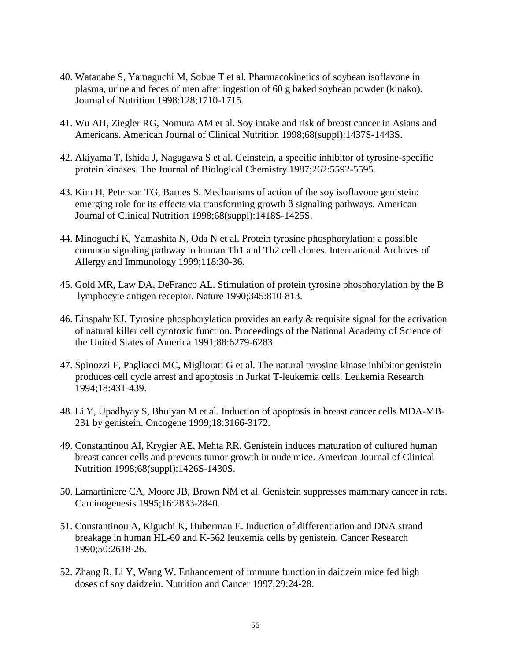- 40. Watanabe S, Yamaguchi M, Sobue T et al. Pharmacokinetics of soybean isoflavone in plasma, urine and feces of men after ingestion of 60 g baked soybean powder (kinako). Journal of Nutrition 1998:128;1710-1715.
- 41. Wu AH, Ziegler RG, Nomura AM et al. Soy intake and risk of breast cancer in Asians and Americans. American Journal of Clinical Nutrition 1998;68(suppl):1437S-1443S.
- 42. Akiyama T, Ishida J, Nagagawa S et al. Geinstein, a specific inhibitor of tyrosine-specific protein kinases. The Journal of Biological Chemistry 1987;262:5592-5595.
- 43. Kim H, Peterson TG, Barnes S. Mechanisms of action of the soy isoflavone genistein: emerging role for its effects via transforming growth  $\beta$  signaling pathways. American Journal of Clinical Nutrition 1998;68(suppl):1418S-1425S.
- 44. Minoguchi K, Yamashita N, Oda N et al. Protein tyrosine phosphorylation: a possible common signaling pathway in human Th1 and Th2 cell clones. International Archives of Allergy and Immunology 1999;118:30-36.
- 45. Gold MR, Law DA, DeFranco AL. Stimulation of protein tyrosine phosphorylation by the B lymphocyte antigen receptor. Nature 1990;345:810-813.
- 46. Einspahr KJ. Tyrosine phosphorylation provides an early & requisite signal for the activation of natural killer cell cytotoxic function. Proceedings of the National Academy of Science of the United States of America 1991;88:6279-6283.
- 47. Spinozzi F, Pagliacci MC, Migliorati G et al. The natural tyrosine kinase inhibitor genistein produces cell cycle arrest and apoptosis in Jurkat T-leukemia cells. Leukemia Research 1994;18:431-439.
- 48. Li Y, Upadhyay S, Bhuiyan M et al. Induction of apoptosis in breast cancer cells MDA-MB- 231 by genistein. Oncogene 1999;18:3166-3172.
- 49. Constantinou AI, Krygier AE, Mehta RR. Genistein induces maturation of cultured human breast cancer cells and prevents tumor growth in nude mice. American Journal of Clinical Nutrition 1998;68(suppl):1426S-1430S.
- 50. Lamartiniere CA, Moore JB, Brown NM et al. Genistein suppresses mammary cancer in rats. Carcinogenesis 1995;16:2833-2840.
- 51. Constantinou A, Kiguchi K, Huberman E. Induction of differentiation and DNA strand breakage in human HL-60 and K-562 leukemia cells by genistein. Cancer Research 1990;50:2618-26.
- 52. Zhang R, Li Y, Wang W. Enhancement of immune function in daidzein mice fed high doses of soy daidzein. Nutrition and Cancer 1997;29:24-28.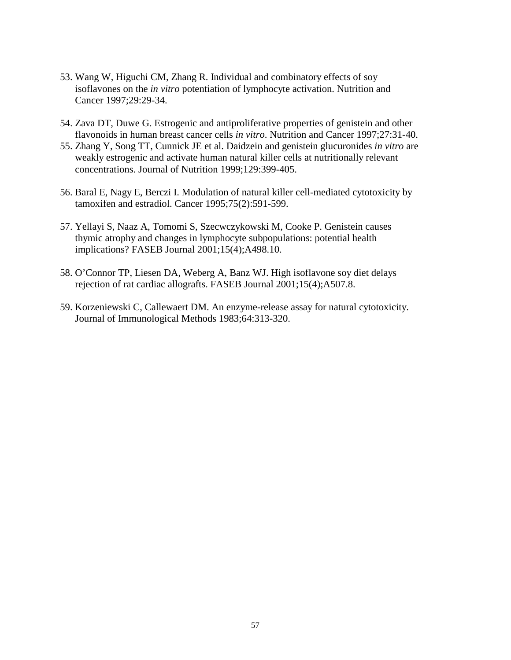- 53. Wang W, Higuchi CM, Zhang R. Individual and combinatory effects of soy isoflavones on the *in vitro* potentiation of lymphocyte activation. Nutrition and Cancer 1997;29:29-34.
- 54. Zava DT, Duwe G. Estrogenic and antiproliferative properties of genistein and other flavonoids in human breast cancer cells *in vitro*. Nutrition and Cancer 1997;27:31-40.
- 55. Zhang Y, Song TT, Cunnick JE et al. Daidzein and genistein glucuronides *in vitro* are weakly estrogenic and activate human natural killer cells at nutritionally relevant concentrations. Journal of Nutrition 1999;129:399-405.
- 56. Baral E, Nagy E, Berczi I. Modulation of natural killer cell-mediated cytotoxicity by tamoxifen and estradiol. Cancer 1995;75(2):591-599.
- 57. Yellayi S, Naaz A, Tomomi S, Szecwczykowski M, Cooke P. Genistein causes thymic atrophy and changes in lymphocyte subpopulations: potential health implications? FASEB Journal 2001;15(4);A498.10.
- 58. O'Connor TP, Liesen DA, Weberg A, Banz WJ. High isoflavone soy diet delays rejection of rat cardiac allografts. FASEB Journal 2001;15(4);A507.8.
- 59. Korzeniewski C, Callewaert DM. An enzyme-release assay for natural cytotoxicity. Journal of Immunological Methods 1983;64:313-320.